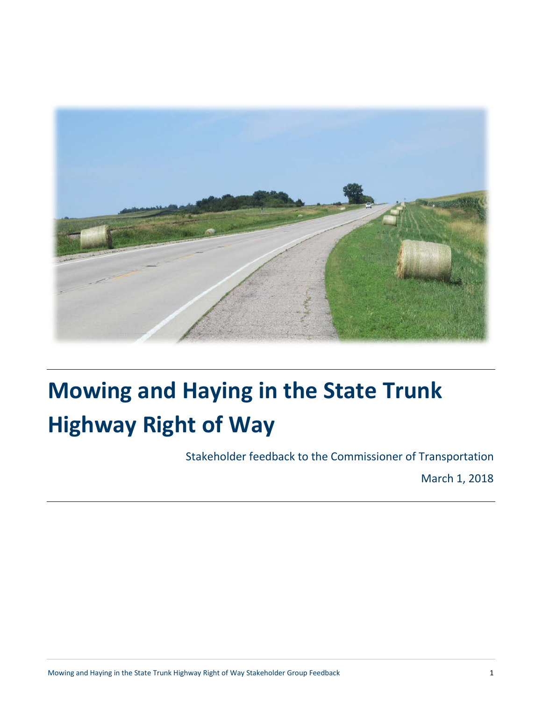

# **Mowing and Haying in the State Trunk Highway Right of Way**

Stakeholder feedback to the Commissioner of Transportation

March 1, 2018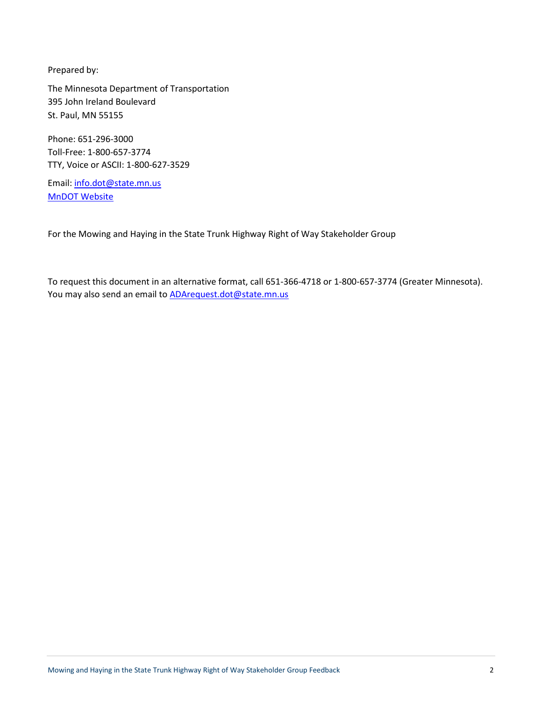Prepared by:

The Minnesota Department of Transportation 395 John Ireland Boulevard St. Paul, MN 55155

Phone: 651-296-3000 Toll-Free: 1-800-657-3774 TTY, Voice or ASCII: 1-800-627-3529

Email: [info.dot@state.mn.us](mailto:info.dot@state.mn.us) [MnDOT Website](http://www.dot.state.mn.us/)

For the Mowing and Haying in the State Trunk Highway Right of Way Stakeholder Group

To request this document in an alternative format, call 651-366-4718 or 1-800-657-3774 (Greater Minnesota). You may also send an email to **ADArequest.dot@state.mn.us**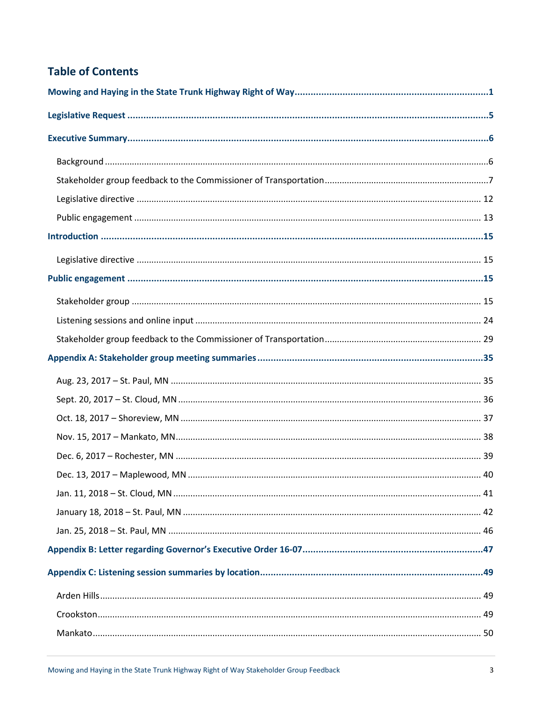# **Table of Contents**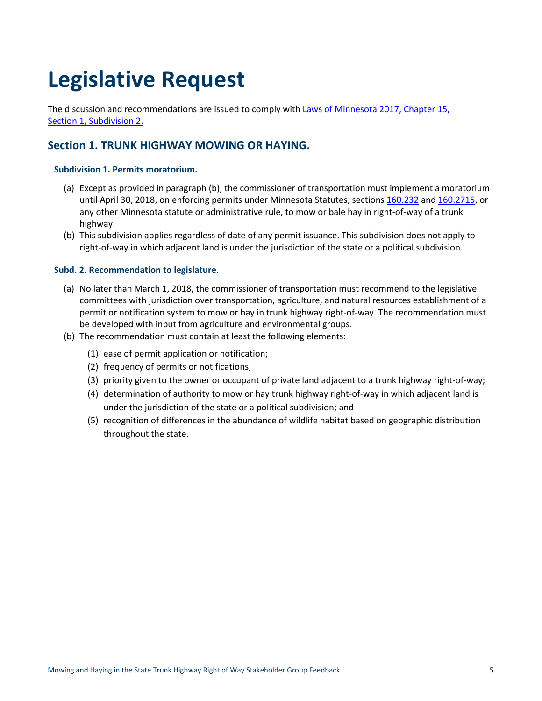# **Legislative Request**

The discussion and recommendations are issued to comply with [Laws of Minnesota 2017, Chapter 15,](https://www.revisor.mn.gov/laws/?year=2017&type=0&doctype=Chapter&id=15)  [Section 1, Subdivision 2.](https://www.revisor.mn.gov/laws/?year=2017&type=0&doctype=Chapter&id=15)

### **Section 1. TRUNK HIGHWAY MOWING OR HAYING.**

### **Subdivision 1. Permits moratorium.**

- (a) Except as provided in paragraph (b), the commissioner of transportation must implement a moratorium until April 30, 2018, on enforcing permits under Minnesota Statutes, sections [160.232](https://www.revisor.mn.gov/statutes/?id=160.232) and [160.2715,](https://www.revisor.mn.gov/statutes/?id=160.2715) or any other Minnesota statute or administrative rule, to mow or bale hay in right-of-way of a trunk highway.
- (b) This subdivision applies regardless of date of any permit issuance. This subdivision does not apply to right-of-way in which adjacent land is under the jurisdiction of the state or a political subdivision.

#### **Subd. 2. Recommendation to legislature.**

- (a) No later than March 1, 2018, the commissioner of transportation must recommend to the legislative committees with jurisdiction over transportation, agriculture, and natural resources establishment of a permit or notification system to mow or hay in trunk highway right-of-way. The recommendation must be developed with input from agriculture and environmental groups.
- (b) The recommendation must contain at least the following elements:
	- (1) ease of permit application or notification;
	- (2) frequency of permits or notifications;
	- (3) priority given to the owner or occupant of private land adjacent to a trunk highway right-of-way;
	- (4) determination of authority to mow or hay trunk highway right-of-way in which adjacent land is under the jurisdiction of the state or a political subdivision; and
	- (5) recognition of differences in the abundance of wildlife habitat based on geographic distribution throughout the state.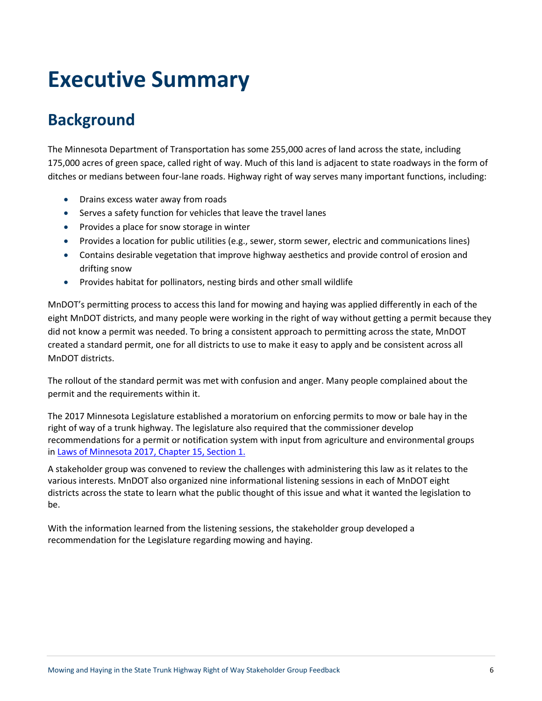# **Executive Summary**

# **Background**

The Minnesota Department of Transportation has some 255,000 acres of land across the state, including 175,000 acres of green space, called right of way. Much of this land is adjacent to state roadways in the form of ditches or medians between four-lane roads. Highway right of way serves many important functions, including:

- Drains excess water away from roads
- Serves a safety function for vehicles that leave the travel lanes
- Provides a place for snow storage in winter
- Provides a location for public utilities (e.g., sewer, storm sewer, electric and communications lines)
- Contains desirable vegetation that improve highway aesthetics and provide control of erosion and drifting snow
- Provides habitat for pollinators, nesting birds and other small wildlife

MnDOT's permitting process to access this land for mowing and haying was applied differently in each of the eight MnDOT districts, and many people were working in the right of way without getting a permit because they did not know a permit was needed. To bring a consistent approach to permitting across the state, MnDOT created a standard permit, one for all districts to use to make it easy to apply and be consistent across all MnDOT districts.

The rollout of the standard permit was met with confusion and anger. Many people complained about the permit and the requirements within it.

The 2017 Minnesota Legislature established a moratorium on enforcing permits to mow or bale hay in the right of way of a trunk highway. The legislature also required that the commissioner develop recommendations for a permit or notification system with input from agriculture and environmental groups in [Laws of Minnesota 2017, Chapter 15, Section 1.](https://www.revisor.mn.gov/laws/?year=2017&type=0&doctype=Chapter&id=15)

A stakeholder group was convened to review the challenges with administering this law as it relates to the various interests. MnDOT also organized nine informational listening sessions in each of MnDOT eight districts across the state to learn what the public thought of this issue and what it wanted the legislation to be.

With the information learned from the listening sessions, the stakeholder group developed a recommendation for the Legislature regarding mowing and haying.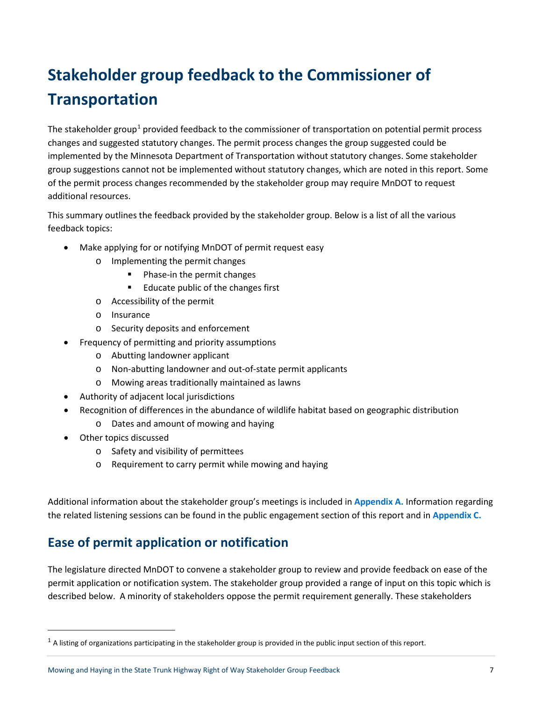# **Stakeholder group feedback to the Commissioner of Transportation**

The stakeholder group<sup>[1](#page-6-0)</sup> provided feedback to the commissioner of transportation on potential permit process changes and suggested statutory changes. The permit process changes the group suggested could be implemented by the Minnesota Department of Transportation without statutory changes. Some stakeholder group suggestions cannot not be implemented without statutory changes, which are noted in this report. Some of the permit process changes recommended by the stakeholder group may require MnDOT to request additional resources.

This summary outlines the feedback provided by the stakeholder group. Below is a list of all the various feedback topics:

- Make applying for or notifying MnDOT of permit request easy
	- o Implementing the permit changes
		- **Phase-in the permit changes**
		- Educate public of the changes first
	- o Accessibility of the permit
	- o Insurance
	- o Security deposits and enforcement
- Frequency of permitting and priority assumptions
	- o Abutting landowner applicant
	- o Non-abutting landowner and out-of-state permit applicants
	- o Mowing areas traditionally maintained as lawns
- Authority of adjacent local jurisdictions
- Recognition of differences in the abundance of wildlife habitat based on geographic distribution
	- o Dates and amount of mowing and haying
- Other topics discussed
	- o Safety and visibility of permittees
	- o Requirement to carry permit while mowing and haying

Additional information about the stakeholder group's meetings is included in **Appendix A.** Information regarding the related listening sessions can be found in the public engagement section of this report and in **Appendix C.**

# **Ease of permit application or notification**

The legislature directed MnDOT to convene a stakeholder group to review and provide feedback on ease of the permit application or notification system. The stakeholder group provided a range of input on this topic which is described below. A minority of stakeholders oppose the permit requirement generally. These stakeholders

<span id="page-6-0"></span> $1$  A listing of organizations participating in the stakeholder group is provided in the public input section of this report.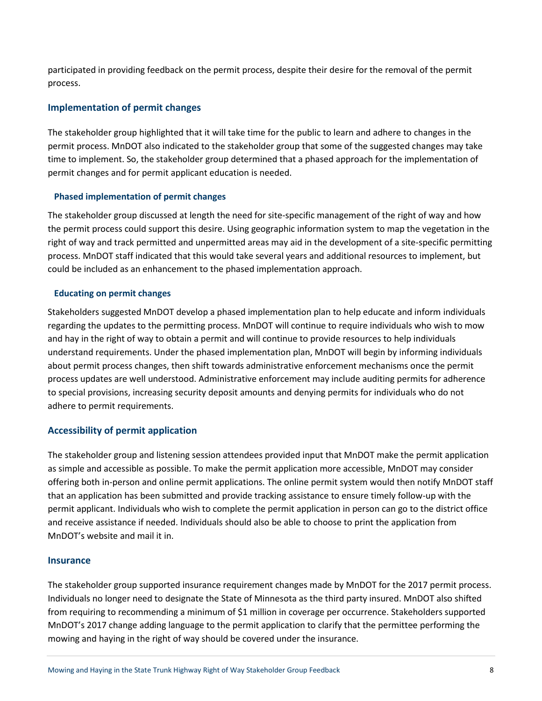participated in providing feedback on the permit process, despite their desire for the removal of the permit process.

### **Implementation of permit changes**

The stakeholder group highlighted that it will take time for the public to learn and adhere to changes in the permit process. MnDOT also indicated to the stakeholder group that some of the suggested changes may take time to implement. So, the stakeholder group determined that a phased approach for the implementation of permit changes and for permit applicant education is needed.

### **Phased implementation of permit changes**

The stakeholder group discussed at length the need for site-specific management of the right of way and how the permit process could support this desire. Using geographic information system to map the vegetation in the right of way and track permitted and unpermitted areas may aid in the development of a site-specific permitting process. MnDOT staff indicated that this would take several years and additional resources to implement, but could be included as an enhancement to the phased implementation approach.

### **Educating on permit changes**

Stakeholders suggested MnDOT develop a phased implementation plan to help educate and inform individuals regarding the updates to the permitting process. MnDOT will continue to require individuals who wish to mow and hay in the right of way to obtain a permit and will continue to provide resources to help individuals understand requirements. Under the phased implementation plan, MnDOT will begin by informing individuals about permit process changes, then shift towards administrative enforcement mechanisms once the permit process updates are well understood. Administrative enforcement may include auditing permits for adherence to special provisions, increasing security deposit amounts and denying permits for individuals who do not adhere to permit requirements.

### **Accessibility of permit application**

The stakeholder group and listening session attendees provided input that MnDOT make the permit application as simple and accessible as possible. To make the permit application more accessible, MnDOT may consider offering both in-person and online permit applications. The online permit system would then notify MnDOT staff that an application has been submitted and provide tracking assistance to ensure timely follow-up with the permit applicant. Individuals who wish to complete the permit application in person can go to the district office and receive assistance if needed. Individuals should also be able to choose to print the application from MnDOT's website and mail it in.

#### **Insurance**

The stakeholder group supported insurance requirement changes made by MnDOT for the 2017 permit process. Individuals no longer need to designate the State of Minnesota as the third party insured. MnDOT also shifted from requiring to recommending a minimum of \$1 million in coverage per occurrence. Stakeholders supported MnDOT's 2017 change adding language to the permit application to clarify that the permittee performing the mowing and haying in the right of way should be covered under the insurance.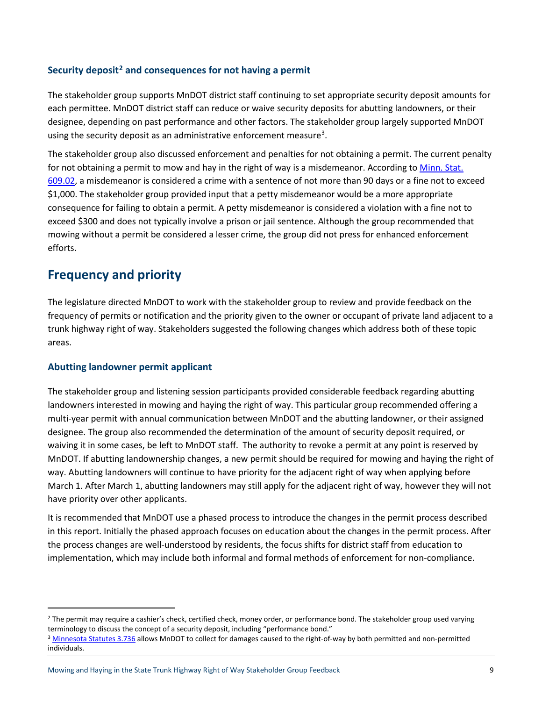### **Security deposit[2](#page-8-0) and consequences for not having a permit**

The stakeholder group supports MnDOT district staff continuing to set appropriate security deposit amounts for each permittee. MnDOT district staff can reduce or waive security deposits for abutting landowners, or their designee, depending on past performance and other factors. The stakeholder group largely supported MnDOT using the security deposit as an administrative enforcement measure<sup>3</sup>.

The stakeholder group also discussed enforcement and penalties for not obtaining a permit. The current penalty for not obtaining a permit to mow and hay in the right of way is a misdemeanor. According to Minn. Stat. [609.02,](https://www.revisor.mn.gov/statutes/?id=609.02) a misdemeanor is considered a crime with a sentence of not more than 90 days or a fine not to exceed \$1,000. The stakeholder group provided input that a petty misdemeanor would be a more appropriate consequence for failing to obtain a permit. A petty misdemeanor is considered a violation with a fine not to exceed \$300 and does not typically involve a prison or jail sentence. Although the group recommended that mowing without a permit be considered a lesser crime, the group did not press for enhanced enforcement efforts.

### **Frequency and priority**

The legislature directed MnDOT to work with the stakeholder group to review and provide feedback on the frequency of permits or notification and the priority given to the owner or occupant of private land adjacent to a trunk highway right of way. Stakeholders suggested the following changes which address both of these topic areas.

### **Abutting landowner permit applicant**

The stakeholder group and listening session participants provided considerable feedback regarding abutting landowners interested in mowing and haying the right of way. This particular group recommended offering a multi-year permit with annual communication between MnDOT and the abutting landowner, or their assigned designee. The group also recommended the determination of the amount of security deposit required, or waiving it in some cases, be left to MnDOT staff. The authority to revoke a permit at any point is reserved by MnDOT. If abutting landownership changes, a new permit should be required for mowing and haying the right of way. Abutting landowners will continue to have priority for the adjacent right of way when applying before March 1. After March 1, abutting landowners may still apply for the adjacent right of way, however they will not have priority over other applicants.

It is recommended that MnDOT use a phased process to introduce the changes in the permit process described in this report. Initially the phased approach focuses on education about the changes in the permit process. After the process changes are well-understood by residents, the focus shifts for district staff from education to implementation, which may include both informal and formal methods of enforcement for non-compliance.

<span id="page-8-0"></span><sup>&</sup>lt;sup>2</sup> The permit may require a cashier's check, certified check, money order, or performance bond. The stakeholder group used varying terminology to discuss the concept of a security deposit, including "performance bond."

<span id="page-8-1"></span><sup>3</sup> [Minnesota Statutes 3.736](https://www.revisor.mn.gov/statutes/?id=3.736) allows MnDOT to collect for damages caused to the right-of-way by both permitted and non-permitted individuals.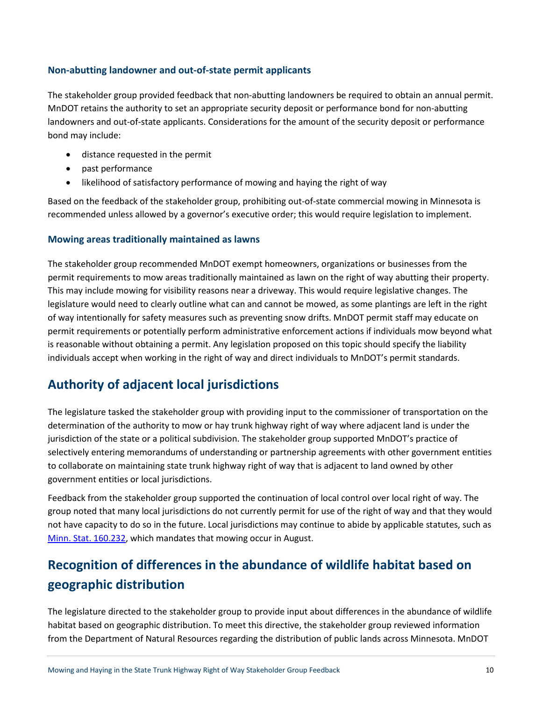### **Non-abutting landowner and out-of-state permit applicants**

The stakeholder group provided feedback that non-abutting landowners be required to obtain an annual permit. MnDOT retains the authority to set an appropriate security deposit or performance bond for non-abutting landowners and out-of-state applicants. Considerations for the amount of the security deposit or performance bond may include:

- distance requested in the permit
- past performance
- likelihood of satisfactory performance of mowing and haying the right of way

Based on the feedback of the stakeholder group, prohibiting out-of-state commercial mowing in Minnesota is recommended unless allowed by a governor's executive order; this would require legislation to implement.

### **Mowing areas traditionally maintained as lawns**

The stakeholder group recommended MnDOT exempt homeowners, organizations or businesses from the permit requirements to mow areas traditionally maintained as lawn on the right of way abutting their property. This may include mowing for visibility reasons near a driveway. This would require legislative changes. The legislature would need to clearly outline what can and cannot be mowed, as some plantings are left in the right of way intentionally for safety measures such as preventing snow drifts. MnDOT permit staff may educate on permit requirements or potentially perform administrative enforcement actions if individuals mow beyond what is reasonable without obtaining a permit. Any legislation proposed on this topic should specify the liability individuals accept when working in the right of way and direct individuals to MnDOT's permit standards.

# **Authority of adjacent local jurisdictions**

The legislature tasked the stakeholder group with providing input to the commissioner of transportation on the determination of the authority to mow or hay trunk highway right of way where adjacent land is under the jurisdiction of the state or a political subdivision. The stakeholder group supported MnDOT's practice of selectively entering memorandums of understanding or partnership agreements with other government entities to collaborate on maintaining state trunk highway right of way that is adjacent to land owned by other government entities or local jurisdictions.

Feedback from the stakeholder group supported the continuation of local control over local right of way. The group noted that many local jurisdictions do not currently permit for use of the right of way and that they would not have capacity to do so in the future. Local jurisdictions may continue to abide by applicable statutes, such as [Minn. Stat. 160.232,](https://www.revisor.mn.gov/statutes/?id=160.232) which mandates that mowing occur in August.

# **Recognition of differences in the abundance of wildlife habitat based on geographic distribution**

The legislature directed to the stakeholder group to provide input about differences in the abundance of wildlife habitat based on geographic distribution. To meet this directive, the stakeholder group reviewed information from the Department of Natural Resources regarding the distribution of public lands across Minnesota. MnDOT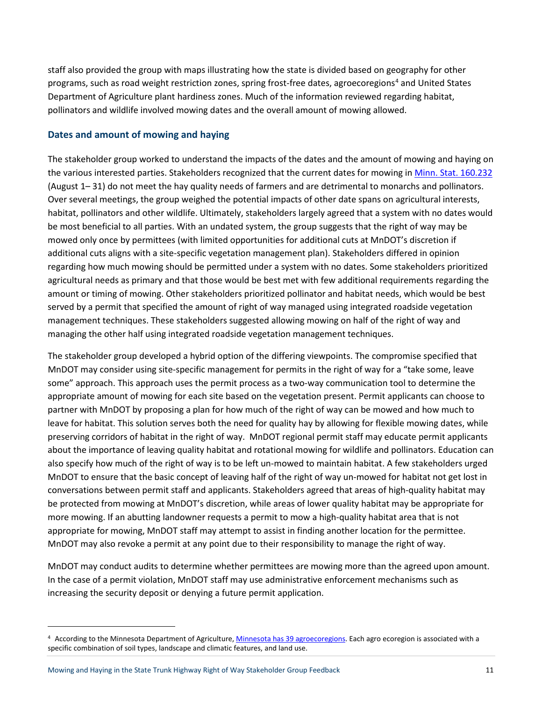staff also provided the group with maps illustrating how the state is divided based on geography for other programs, such as road weight restriction zones, spring frost-free dates, agroecoregions<sup>[4](#page-10-0)</sup> and United States Department of Agriculture plant hardiness zones. Much of the information reviewed regarding habitat, pollinators and wildlife involved mowing dates and the overall amount of mowing allowed.

### **Dates and amount of mowing and haying**

The stakeholder group worked to understand the impacts of the dates and the amount of mowing and haying on the various interested parties. Stakeholders recognized that the current dates for mowing i[n Minn. Stat. 160.232](https://www.revisor.mn.gov/statutes/?id=160.232) (August 1– 31) do not meet the hay quality needs of farmers and are detrimental to monarchs and pollinators. Over several meetings, the group weighed the potential impacts of other date spans on agricultural interests, habitat, pollinators and other wildlife. Ultimately, stakeholders largely agreed that a system with no dates would be most beneficial to all parties. With an undated system, the group suggests that the right of way may be mowed only once by permittees (with limited opportunities for additional cuts at MnDOT's discretion if additional cuts aligns with a site-specific vegetation management plan). Stakeholders differed in opinion regarding how much mowing should be permitted under a system with no dates. Some stakeholders prioritized agricultural needs as primary and that those would be best met with few additional requirements regarding the amount or timing of mowing. Other stakeholders prioritized pollinator and habitat needs, which would be best served by a permit that specified the amount of right of way managed using integrated roadside vegetation management techniques. These stakeholders suggested allowing mowing on half of the right of way and managing the other half using integrated roadside vegetation management techniques.

The stakeholder group developed a hybrid option of the differing viewpoints. The compromise specified that MnDOT may consider using site-specific management for permits in the right of way for a "take some, leave some" approach. This approach uses the permit process as a two-way communication tool to determine the appropriate amount of mowing for each site based on the vegetation present. Permit applicants can choose to partner with MnDOT by proposing a plan for how much of the right of way can be mowed and how much to leave for habitat. This solution serves both the need for quality hay by allowing for flexible mowing dates, while preserving corridors of habitat in the right of way. MnDOT regional permit staff may educate permit applicants about the importance of leaving quality habitat and rotational mowing for wildlife and pollinators. Education can also specify how much of the right of way is to be left un-mowed to maintain habitat. A few stakeholders urged MnDOT to ensure that the basic concept of leaving half of the right of way un-mowed for habitat not get lost in conversations between permit staff and applicants. Stakeholders agreed that areas of high-quality habitat may be protected from mowing at MnDOT's discretion, while areas of lower quality habitat may be appropriate for more mowing. If an abutting landowner requests a permit to mow a high-quality habitat area that is not appropriate for mowing, MnDOT staff may attempt to assist in finding another location for the permittee. MnDOT may also revoke a permit at any point due to their responsibility to manage the right of way.

MnDOT may conduct audits to determine whether permittees are mowing more than the agreed upon amount. In the case of a permit violation, MnDOT staff may use administrative enforcement mechanisms such as increasing the security deposit or denying a future permit application.

 $\overline{\phantom{a}}$ 

<span id="page-10-0"></span><sup>4</sup> According to the Minnesota Department of Agriculture, [Minnesota has 39 agroecoregions.](https://gisdata.mn.gov/dataset/agri-agroecoregions) Each agro ecoregion is associated with a specific combination of soil types, landscape and climatic features, and land use.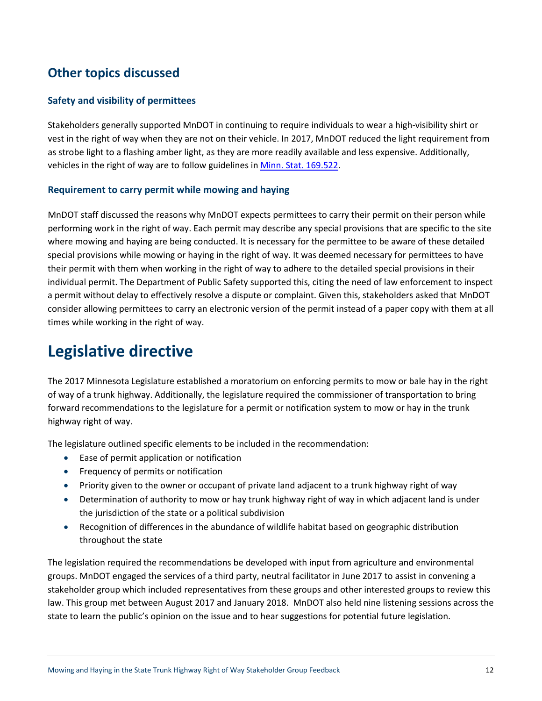# **Other topics discussed**

### **Safety and visibility of permittees**

Stakeholders generally supported MnDOT in continuing to require individuals to wear a high-visibility shirt or vest in the right of way when they are not on their vehicle. In 2017, MnDOT reduced the light requirement from as strobe light to a flashing amber light, as they are more readily available and less expensive. Additionally, vehicles in the right of way are to follow guidelines in [Minn. Stat. 169.522.](https://www.revisor.mn.gov/statutes/?id=169.522)

### **Requirement to carry permit while mowing and haying**

MnDOT staff discussed the reasons why MnDOT expects permittees to carry their permit on their person while performing work in the right of way. Each permit may describe any special provisions that are specific to the site where mowing and haying are being conducted. It is necessary for the permittee to be aware of these detailed special provisions while mowing or haying in the right of way. It was deemed necessary for permittees to have their permit with them when working in the right of way to adhere to the detailed special provisions in their individual permit. The Department of Public Safety supported this, citing the need of law enforcement to inspect a permit without delay to effectively resolve a dispute or complaint. Given this, stakeholders asked that MnDOT consider allowing permittees to carry an electronic version of the permit instead of a paper copy with them at all times while working in the right of way.

# **Legislative directive**

The 2017 Minnesota Legislature established a moratorium on enforcing permits to mow or bale hay in the right of way of a trunk highway. Additionally, the legislature required the commissioner of transportation to bring forward recommendations to the legislature for a permit or notification system to mow or hay in the trunk highway right of way.

The legislature outlined specific elements to be included in the recommendation:

- Ease of permit application or notification
- Frequency of permits or notification
- Priority given to the owner or occupant of private land adjacent to a trunk highway right of way
- Determination of authority to mow or hay trunk highway right of way in which adjacent land is under the jurisdiction of the state or a political subdivision
- Recognition of differences in the abundance of wildlife habitat based on geographic distribution throughout the state

The legislation required the recommendations be developed with input from agriculture and environmental groups. MnDOT engaged the services of a third party, neutral facilitator in June 2017 to assist in convening a stakeholder group which included representatives from these groups and other interested groups to review this law. This group met between August 2017 and January 2018. MnDOT also held nine listening sessions across the state to learn the public's opinion on the issue and to hear suggestions for potential future legislation.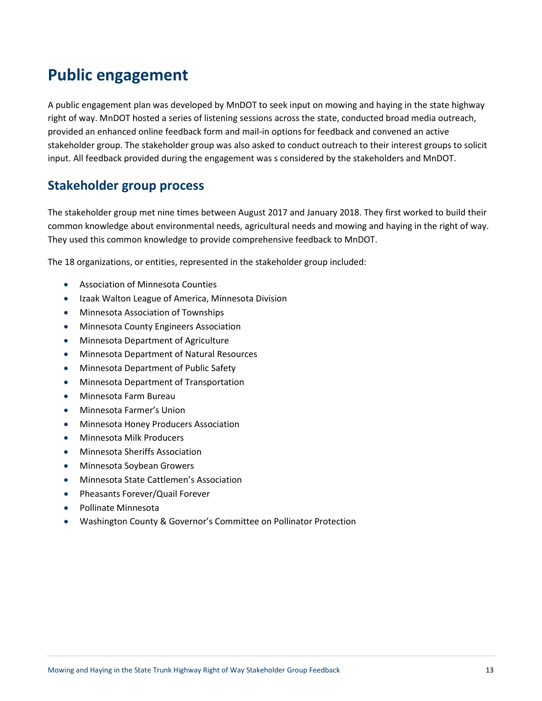# **Public engagement**

A public engagement plan was developed by MnDOT to seek input on mowing and haying in the state highway right of way. MnDOT hosted a series of listening sessions across the state, conducted broad media outreach, provided an enhanced online feedback form and mail-in options for feedback and convened an active stakeholder group. The stakeholder group was also asked to conduct outreach to their interest groups to solicit input. All feedback provided during the engagement was s considered by the stakeholders and MnDOT.

# **Stakeholder group process**

The stakeholder group met nine times between August 2017 and January 2018. They first worked to build their common knowledge about environmental needs, agricultural needs and mowing and haying in the right of way. They used this common knowledge to provide comprehensive feedback to MnDOT.

The 18 organizations, or entities, represented in the stakeholder group included:

- Association of Minnesota Counties
- Izaak Walton League of America, Minnesota Division
- Minnesota Association of Townships
- Minnesota County Engineers Association
- Minnesota Department of Agriculture
- Minnesota Department of Natural Resources
- Minnesota Department of Public Safety
- Minnesota Department of Transportation
- Minnesota Farm Bureau
- Minnesota Farmer's Union
- Minnesota Honey Producers Association
- Minnesota Milk Producers
- Minnesota Sheriffs Association
- Minnesota Soybean Growers
- Minnesota State Cattlemen's Association
- Pheasants Forever/Quail Forever
- Pollinate Minnesota
- Washington County & Governor's Committee on Pollinator Protection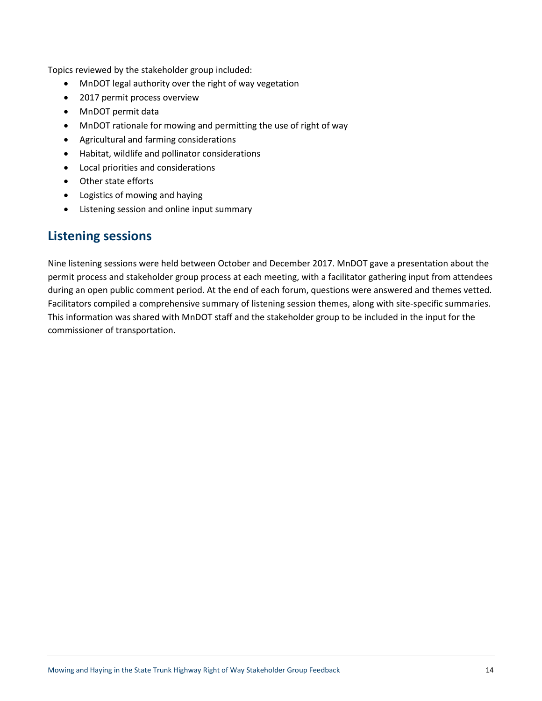Topics reviewed by the stakeholder group included:

- MnDOT legal authority over the right of way vegetation
- 2017 permit process overview
- MnDOT permit data
- MnDOT rationale for mowing and permitting the use of right of way
- Agricultural and farming considerations
- Habitat, wildlife and pollinator considerations
- Local priorities and considerations
- Other state efforts
- Logistics of mowing and haying
- Listening session and online input summary

### **Listening sessions**

Nine listening sessions were held between October and December 2017. MnDOT gave a presentation about the permit process and stakeholder group process at each meeting, with a facilitator gathering input from attendees during an open public comment period. At the end of each forum, questions were answered and themes vetted. Facilitators compiled a comprehensive summary of listening session themes, along with site-specific summaries. This information was shared with MnDOT staff and the stakeholder group to be included in the input for the commissioner of transportation.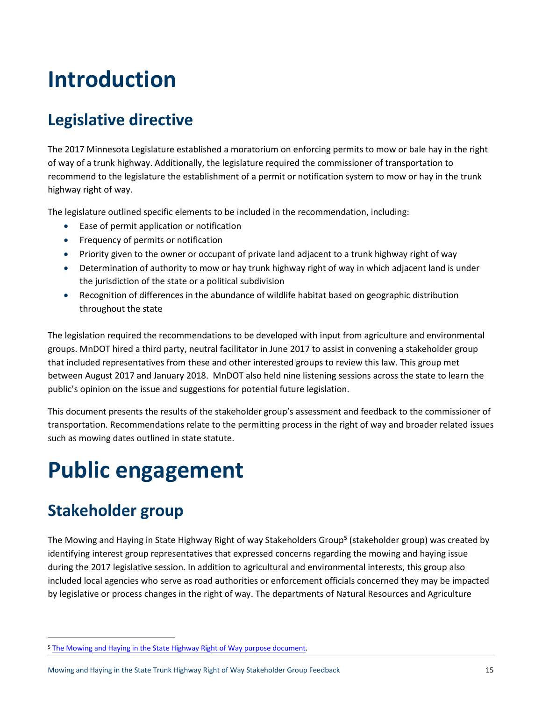# **Introduction**

# **Legislative directive**

The 2017 Minnesota Legislature established a moratorium on enforcing permits to mow or bale hay in the right of way of a trunk highway. Additionally, the legislature required the commissioner of transportation to recommend to the legislature the establishment of a permit or notification system to mow or hay in the trunk highway right of way.

The legislature outlined specific elements to be included in the recommendation, including:

- Ease of permit application or notification
- Frequency of permits or notification
- Priority given to the owner or occupant of private land adjacent to a trunk highway right of way
- Determination of authority to mow or hay trunk highway right of way in which adjacent land is under the jurisdiction of the state or a political subdivision
- Recognition of differences in the abundance of wildlife habitat based on geographic distribution throughout the state

The legislation required the recommendations to be developed with input from agriculture and environmental groups. MnDOT hired a third party, neutral facilitator in June 2017 to assist in convening a stakeholder group that included representatives from these and other interested groups to review this law. This group met between August 2017 and January 2018. MnDOT also held nine listening sessions across the state to learn the public's opinion on the issue and suggestions for potential future legislation.

This document presents the results of the stakeholder group's assessment and feedback to the commissioner of transportation. Recommendations relate to the permitting process in the right of way and broader related issues such as mowing dates outlined in state statute.

# **Public engagement**

# **Stakeholder group**

The Mowing and Haying in State Highway Right of way Stakeholders Group<sup>[5](#page-14-0)</sup> (stakeholder group) was created by identifying interest group representatives that expressed concerns regarding the mowing and haying issue during the 2017 legislative session. In addition to agricultural and environmental interests, this group also included local agencies who serve as road authorities or enforcement officials concerned they may be impacted by legislative or process changes in the right of way. The departments of Natural Resources and Agriculture

<span id="page-14-0"></span><sup>&</sup>lt;sup>5</sup> The Mowing and Haying in the State Highway Right of Way purpose document.

Mowing and Haying in the State Trunk Highway Right of Way Stakeholder Group Feedback 15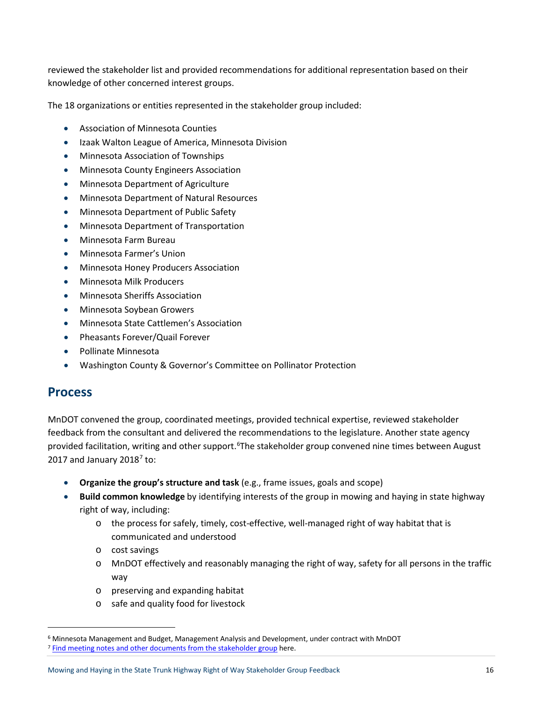reviewed the stakeholder list and provided recommendations for additional representation based on their knowledge of other concerned interest groups.

The 18 organizations or entities represented in the stakeholder group included:

- Association of Minnesota Counties
- Izaak Walton League of America, Minnesota Division
- Minnesota Association of Townships
- Minnesota County Engineers Association
- Minnesota Department of Agriculture
- Minnesota Department of Natural Resources
- Minnesota Department of Public Safety
- Minnesota Department of Transportation
- Minnesota Farm Bureau
- Minnesota Farmer's Union
- Minnesota Honey Producers Association
- Minnesota Milk Producers
- Minnesota Sheriffs Association
- Minnesota Soybean Growers
- Minnesota State Cattlemen's Association
- Pheasants Forever/Quail Forever
- Pollinate Minnesota
- Washington County & Governor's Committee on Pollinator Protection

### **Process**

MnDOT convened the group, coordinated meetings, provided technical expertise, reviewed stakeholder feedback from the consultant and delivered the recommendations to the legislature. Another state agency provided facilitation, writing and other support.<sup>[6](#page-15-0)</sup>The stakeholder group convened nine times between August 201[7](#page-15-1) and January  $2018^7$  to:

- **Organize the group's structure and task** (e.g., frame issues, goals and scope)
- **Build common knowledge** by identifying interests of the group in mowing and haying in state highway right of way, including:
	- o the process for safely, timely, cost-effective, well-managed right of way habitat that is communicated and understood
	- o cost savings
	- o MnDOT effectively and reasonably managing the right of way, safety for all persons in the traffic way
	- o preserving and expanding habitat
	- o safe and quality food for livestock

<span id="page-15-1"></span><span id="page-15-0"></span> <sup>6</sup> Minnesota Management and Budget, Management Analysis and Development, under contract with MnDOT <sup>7</sup> [Find meeting notes and other documents from the stakeholder group](http://www.dot.state.mn.us/mowing/meetings.html) here.

Mowing and Haying in the State Trunk Highway Right of Way Stakeholder Group Feedback 16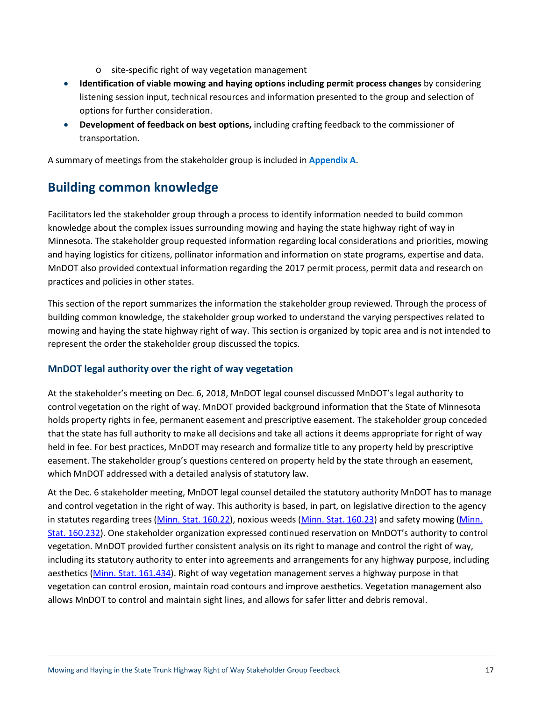- o site-specific right of way vegetation management
- **Identification of viable mowing and haying options including permit process changes** by considering listening session input, technical resources and information presented to the group and selection of options for further consideration.
- **Development of feedback on best options,** including crafting feedback to the commissioner of transportation.

A summary of meetings from the stakeholder group is included in **Appendix A**.

# **Building common knowledge**

Facilitators led the stakeholder group through a process to identify information needed to build common knowledge about the complex issues surrounding mowing and haying the state highway right of way in Minnesota. The stakeholder group requested information regarding local considerations and priorities, mowing and haying logistics for citizens, pollinator information and information on state programs, expertise and data. MnDOT also provided contextual information regarding the 2017 permit process, permit data and research on practices and policies in other states.

This section of the report summarizes the information the stakeholder group reviewed. Through the process of building common knowledge, the stakeholder group worked to understand the varying perspectives related to mowing and haying the state highway right of way. This section is organized by topic area and is not intended to represent the order the stakeholder group discussed the topics.

### **MnDOT legal authority over the right of way vegetation**

At the stakeholder's meeting on Dec. 6, 2018, MnDOT legal counsel discussed MnDOT's legal authority to control vegetation on the right of way. MnDOT provided background information that the State of Minnesota holds property rights in fee, permanent easement and prescriptive easement. The stakeholder group conceded that the state has full authority to make all decisions and take all actions it deems appropriate for right of way held in fee. For best practices, MnDOT may research and formalize title to any property held by prescriptive easement. The stakeholder group's questions centered on property held by the state through an easement, which MnDOT addressed with a detailed analysis of statutory law.

At the Dec. 6 stakeholder meeting, MnDOT legal counsel detailed the statutory authority MnDOT has to manage and control vegetation in the right of way. This authority is based, in part, on legislative direction to the agency in statutes regarding trees [\(Minn. Stat. 160.22\)](https://www.revisor.mn.gov/statutes/?id=160.22), noxious weeds [\(Minn. Stat. 160.23\)](https://www.revisor.mn.gov/statutes/?id=160.23) and safety mowing [\(Minn.](https://www.revisor.mn.gov/statutes/?id=160.232)  [Stat. 160.232\)](https://www.revisor.mn.gov/statutes/?id=160.232). One stakeholder organization expressed continued reservation on MnDOT's authority to control vegetation. MnDOT provided further consistent analysis on its right to manage and control the right of way, including its statutory authority to enter into agreements and arrangements for any highway purpose, including aesthetics [\(Minn. Stat. 161.434\)](https://www.revisor.mn.gov/statutes/?id=161.434). Right of way vegetation management serves a highway purpose in that vegetation can control erosion, maintain road contours and improve aesthetics. Vegetation management also allows MnDOT to control and maintain sight lines, and allows for safer litter and debris removal.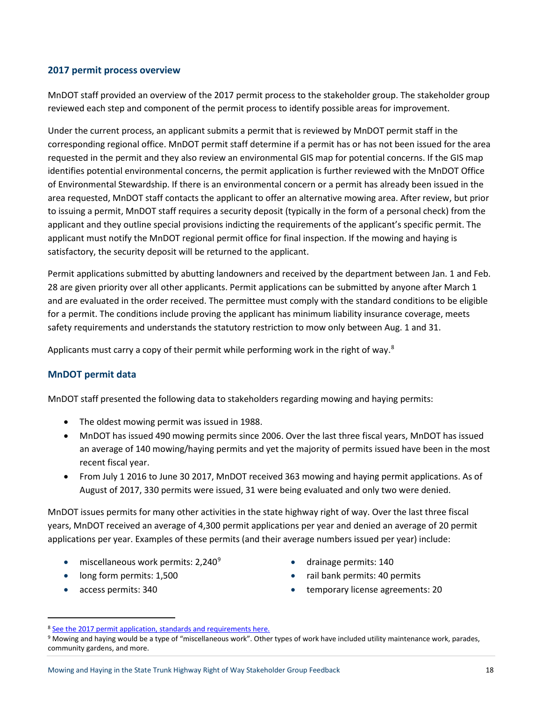### **2017 permit process overview**

MnDOT staff provided an overview of the 2017 permit process to the stakeholder group. The stakeholder group reviewed each step and component of the permit process to identify possible areas for improvement.

Under the current process, an applicant submits a permit that is reviewed by MnDOT permit staff in the corresponding regional office. MnDOT permit staff determine if a permit has or has not been issued for the area requested in the permit and they also review an environmental GIS map for potential concerns. If the GIS map identifies potential environmental concerns, the permit application is further reviewed with the MnDOT Office of Environmental Stewardship. If there is an environmental concern or a permit has already been issued in the area requested, MnDOT staff contacts the applicant to offer an alternative mowing area. After review, but prior to issuing a permit, MnDOT staff requires a security deposit (typically in the form of a personal check) from the applicant and they outline special provisions indicting the requirements of the applicant's specific permit. The applicant must notify the MnDOT regional permit office for final inspection. If the mowing and haying is satisfactory, the security deposit will be returned to the applicant.

Permit applications submitted by abutting landowners and received by the department between Jan. 1 and Feb. 28 are given priority over all other applicants. Permit applications can be submitted by anyone after March 1 and are evaluated in the order received. The permittee must comply with the standard conditions to be eligible for a permit. The conditions include proving the applicant has minimum liability insurance coverage, meets safety requirements and understands the statutory restriction to mow only between Aug. 1 and 31.

Applicants must carry a copy of their permit while performing work in the right of way.<sup>[8](#page-17-0)</sup>

### **MnDOT permit data**

MnDOT staff presented the following data to stakeholders regarding mowing and haying permits:

- The oldest mowing permit was issued in 1988.
- MnDOT has issued 490 mowing permits since 2006. Over the last three fiscal years, MnDOT has issued an average of 140 mowing/haying permits and yet the majority of permits issued have been in the most recent fiscal year.
- From July 1 2016 to June 30 2017, MnDOT received 363 mowing and haying permit applications. As of August of 2017, 330 permits were issued, 31 were being evaluated and only two were denied.

MnDOT issues permits for many other activities in the state highway right of way. Over the last three fiscal years, MnDOT received an average of 4,300 permit applications per year and denied an average of 20 permit applications per year. Examples of these permits (and their average numbers issued per year) include:

- $\bullet$  miscellaneous work permits: 2,240 $^9$  $^9$
- long form permits: 1,500
- access permits: 340
- drainage permits: 140
- rail bank permits: 40 permits
- temporary license agreements: 20

<span id="page-17-0"></span> <sup>8</sup> [See the 2017 permit application, standards and requirements here.](http://dotapp7.dot.state.mn.us/eDIGS_guest/DMResultSet/download?docId=1769730)

<span id="page-17-1"></span><sup>9</sup> Mowing and haying would be a type of "miscellaneous work". Other types of work have included utility maintenance work, parades, community gardens, and more.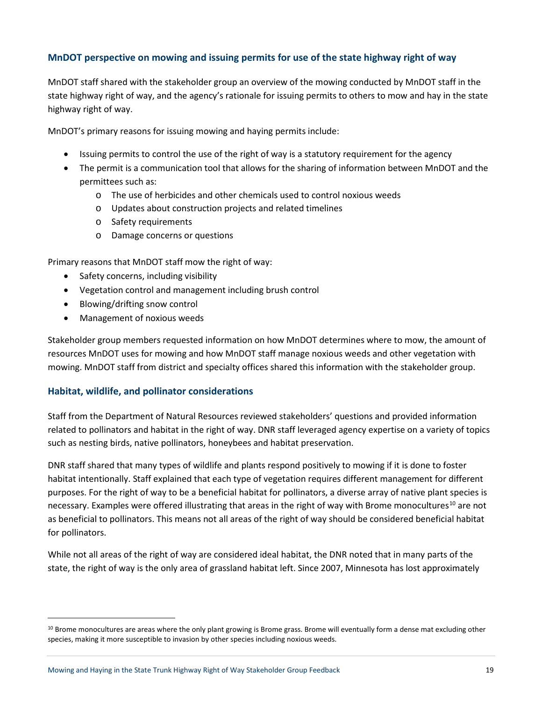### **MnDOT perspective on mowing and issuing permits for use of the state highway right of way**

MnDOT staff shared with the stakeholder group an overview of the mowing conducted by MnDOT staff in the state highway right of way, and the agency's rationale for issuing permits to others to mow and hay in the state highway right of way.

MnDOT's primary reasons for issuing mowing and haying permits include:

- Issuing permits to control the use of the right of way is a statutory requirement for the agency
- The permit is a communication tool that allows for the sharing of information between MnDOT and the permittees such as:
	- o The use of herbicides and other chemicals used to control noxious weeds
	- o Updates about construction projects and related timelines
	- o Safety requirements
	- o Damage concerns or questions

Primary reasons that MnDOT staff mow the right of way:

- Safety concerns, including visibility
- Vegetation control and management including brush control
- Blowing/drifting snow control
- Management of noxious weeds

Stakeholder group members requested information on how MnDOT determines where to mow, the amount of resources MnDOT uses for mowing and how MnDOT staff manage noxious weeds and other vegetation with mowing. MnDOT staff from district and specialty offices shared this information with the stakeholder group.

### **Habitat, wildlife, and pollinator considerations**

Staff from the Department of Natural Resources reviewed stakeholders' questions and provided information related to pollinators and habitat in the right of way. DNR staff leveraged agency expertise on a variety of topics such as nesting birds, native pollinators, honeybees and habitat preservation.

DNR staff shared that many types of wildlife and plants respond positively to mowing if it is done to foster habitat intentionally. Staff explained that each type of vegetation requires different management for different purposes. For the right of way to be a beneficial habitat for pollinators, a diverse array of native plant species is necessary. Examples were offered illustrating that areas in the right of way with Brome monocultures<sup>[10](#page-18-0)</sup> are not as beneficial to pollinators. This means not all areas of the right of way should be considered beneficial habitat for pollinators.

While not all areas of the right of way are considered ideal habitat, the DNR noted that in many parts of the state, the right of way is the only area of grassland habitat left. Since 2007, Minnesota has lost approximately

<span id="page-18-0"></span><sup>&</sup>lt;sup>10</sup> Brome monocultures are areas where the only plant growing is Brome grass. Brome will eventually form a dense mat excluding other species, making it more susceptible to invasion by other species including noxious weeds.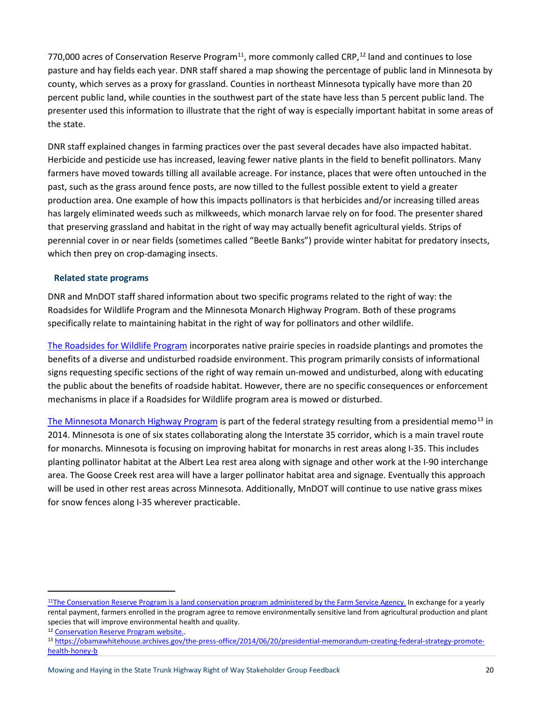770,000 acres of Conservation Reserve Program $^{11}$ , more commonly called CRP, $^{12}$  land and continues to lose pasture and hay fields each year. DNR staff shared a map showing the percentage of public land in Minnesota by county, which serves as a proxy for grassland. Counties in northeast Minnesota typically have more than 20 percent public land, while counties in the southwest part of the state have less than 5 percent public land. The presenter used this information to illustrate that the right of way is especially important habitat in some areas of the state.

DNR staff explained changes in farming practices over the past several decades have also impacted habitat. Herbicide and pesticide use has increased, leaving fewer native plants in the field to benefit pollinators. Many farmers have moved towards tilling all available acreage. For instance, places that were often untouched in the past, such as the grass around fence posts, are now tilled to the fullest possible extent to yield a greater production area. One example of how this impacts pollinators is that herbicides and/or increasing tilled areas has largely eliminated weeds such as milkweeds, which monarch larvae rely on for food. The presenter shared that preserving grassland and habitat in the right of way may actually benefit agricultural yields. Strips of perennial cover in or near fields (sometimes called "Beetle Banks") provide winter habitat for predatory insects, which then prey on crop-damaging insects.

### **Related state programs**

DNR and MnDOT staff shared information about two specific programs related to the right of way: the Roadsides for Wildlife Program and the Minnesota Monarch Highway Program. Both of these programs specifically relate to maintaining habitat in the right of way for pollinators and other wildlife.

[The Roadsides for Wildlife Program](http://www.dnr.state.mn.us/roadsidesforwildlife/index.html) incorporates native prairie species in roadside plantings and promotes the benefits of a diverse and undisturbed roadside environment. This program primarily consists of informational signs requesting specific sections of the right of way remain un-mowed and undisturbed, along with educating the public about the benefits of roadside habitat. However, there are no specific consequences or enforcement mechanisms in place if a Roadsides for Wildlife program area is mowed or disturbed.

[The Minnesota Monarch Highway Program](https://www.dot.state.mn.us/newsrels/17/06/16pollinatorweek.html) is part of the federal strategy resulting from a presidential memo<sup>[13](#page-19-2)</sup> in 2014. Minnesota is one of six states collaborating along the Interstate 35 corridor, which is a main travel route for monarchs. Minnesota is focusing on improving habitat for monarchs in rest areas along I-35. This includes planting pollinator habitat at the Albert Lea rest area along with signage and other work at the I-90 interchange area. The Goose Creek rest area will have a larger pollinator habitat area and signage. Eventually this approach will be used in other rest areas across Minnesota. Additionally, MnDOT will continue to use native grass mixes for snow fences along I-35 wherever practicable.

<span id="page-19-0"></span><sup>&</sup>lt;sup>11</sup>The Conservation Reserve Program is a land conservation program administered by the Farm Service Agency. In exchange for a yearly rental payment, farmers enrolled in the program agree to remove environmentally sensitive land from agricultural production and plant species that will improve environmental health and quality.

<span id="page-19-2"></span><span id="page-19-1"></span><sup>&</sup>lt;sup>12</sup> Conservation Reserve Program website.<br><sup>13</sup> [https://obamawhitehouse.archives.gov/the-press-office/2014/06/20/presidential-memorandum-creating-federal-strategy-promote](https://obamawhitehouse.archives.gov/the-press-office/2014/06/20/presidential-memorandum-creating-federal-strategy-promote-health-honey-b)[health-honey-b](https://obamawhitehouse.archives.gov/the-press-office/2014/06/20/presidential-memorandum-creating-federal-strategy-promote-health-honey-b)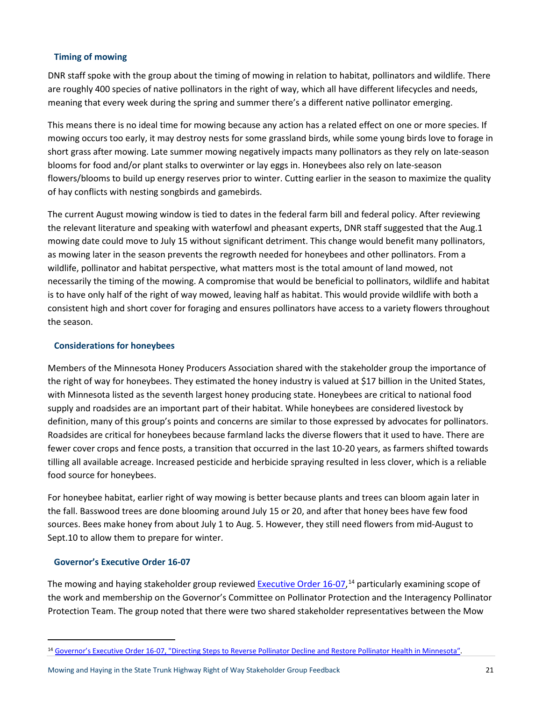### **Timing of mowing**

DNR staff spoke with the group about the timing of mowing in relation to habitat, pollinators and wildlife. There are roughly 400 species of native pollinators in the right of way, which all have different lifecycles and needs, meaning that every week during the spring and summer there's a different native pollinator emerging.

This means there is no ideal time for mowing because any action has a related effect on one or more species. If mowing occurs too early, it may destroy nests for some grassland birds, while some young birds love to forage in short grass after mowing. Late summer mowing negatively impacts many pollinators as they rely on late-season blooms for food and/or plant stalks to overwinter or lay eggs in. Honeybees also rely on late-season flowers/blooms to build up energy reserves prior to winter. Cutting earlier in the season to maximize the quality of hay conflicts with nesting songbirds and gamebirds.

The current August mowing window is tied to dates in the federal farm bill and federal policy. After reviewing the relevant literature and speaking with waterfowl and pheasant experts, DNR staff suggested that the Aug.1 mowing date could move to July 15 without significant detriment. This change would benefit many pollinators, as mowing later in the season prevents the regrowth needed for honeybees and other pollinators. From a wildlife, pollinator and habitat perspective, what matters most is the total amount of land mowed, not necessarily the timing of the mowing. A compromise that would be beneficial to pollinators, wildlife and habitat is to have only half of the right of way mowed, leaving half as habitat. This would provide wildlife with both a consistent high and short cover for foraging and ensures pollinators have access to a variety flowers throughout the season.

### **Considerations for honeybees**

Members of the Minnesota Honey Producers Association shared with the stakeholder group the importance of the right of way for honeybees. They estimated the honey industry is valued at \$17 billion in the United States, with Minnesota listed as the seventh largest honey producing state. Honeybees are critical to national food supply and roadsides are an important part of their habitat. While honeybees are considered livestock by definition, many of this group's points and concerns are similar to those expressed by advocates for pollinators. Roadsides are critical for honeybees because farmland lacks the diverse flowers that it used to have. There are fewer cover crops and fence posts, a transition that occurred in the last 10-20 years, as farmers shifted towards tilling all available acreage. Increased pesticide and herbicide spraying resulted in less clover, which is a reliable food source for honeybees.

For honeybee habitat, earlier right of way mowing is better because plants and trees can bloom again later in the fall. Basswood trees are done blooming around July 15 or 20, and after that honey bees have few food sources. Bees make honey from about July 1 to Aug. 5. However, they still need flowers from mid-August to Sept.10 to allow them to prepare for winter.

#### **Governor's Executive Order 16-07**

The mowing and haying stakeholder group reviewed [Executive Order 16-07,](https://mn.gov/governor/assets/2016_08_25_EO_16-07_tcm1055-253931.pdf) <sup>[14](#page-20-0)</sup> particularly examining scope of the work and membership on the Governor's Committee on Pollinator Protection and the Interagency Pollinator Protection Team. The group noted that there were two shared stakeholder representatives between the Mow

Mowing and Haying in the State Trunk Highway Right of Way Stakeholder Group Feedback 21

<span id="page-20-0"></span> <sup>14</sup> [Governor's Executive Order 16-07, "Directing Steps to Reverse Pollinator Decline and Restore Pollinator Health in Minnesota".](https://mn.gov/governor/assets/2016_08_25_EO_16-07_tcm1055-253931.pdf)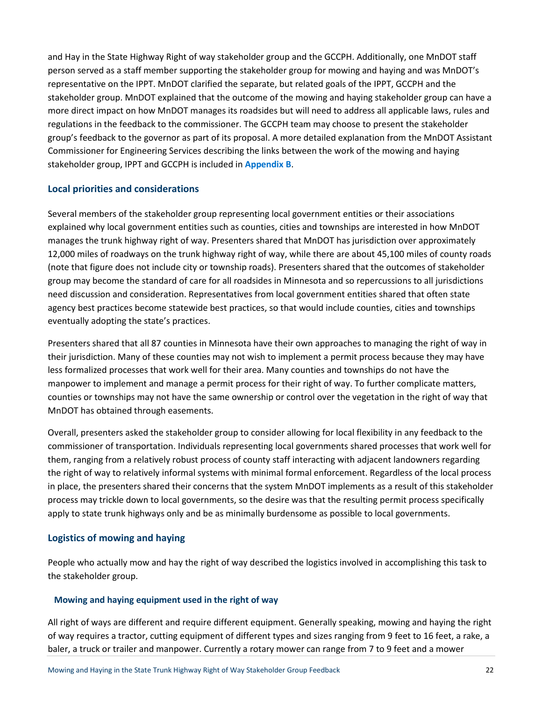and Hay in the State Highway Right of way stakeholder group and the GCCPH. Additionally, one MnDOT staff person served as a staff member supporting the stakeholder group for mowing and haying and was MnDOT's representative on the IPPT. MnDOT clarified the separate, but related goals of the IPPT, GCCPH and the stakeholder group. MnDOT explained that the outcome of the mowing and haying stakeholder group can have a more direct impact on how MnDOT manages its roadsides but will need to address all applicable laws, rules and regulations in the feedback to the commissioner. The GCCPH team may choose to present the stakeholder group's feedback to the governor as part of its proposal. A more detailed explanation from the MnDOT Assistant Commissioner for Engineering Services describing the links between the work of the mowing and haying stakeholder group, IPPT and GCCPH is included in **Appendix B**.

### **Local priorities and considerations**

Several members of the stakeholder group representing local government entities or their associations explained why local government entities such as counties, cities and townships are interested in how MnDOT manages the trunk highway right of way. Presenters shared that MnDOT has jurisdiction over approximately 12,000 miles of roadways on the trunk highway right of way, while there are about 45,100 miles of county roads (note that figure does not include city or township roads). Presenters shared that the outcomes of stakeholder group may become the standard of care for all roadsides in Minnesota and so repercussions to all jurisdictions need discussion and consideration. Representatives from local government entities shared that often state agency best practices become statewide best practices, so that would include counties, cities and townships eventually adopting the state's practices.

Presenters shared that all 87 counties in Minnesota have their own approaches to managing the right of way in their jurisdiction. Many of these counties may not wish to implement a permit process because they may have less formalized processes that work well for their area. Many counties and townships do not have the manpower to implement and manage a permit process for their right of way. To further complicate matters, counties or townships may not have the same ownership or control over the vegetation in the right of way that MnDOT has obtained through easements.

Overall, presenters asked the stakeholder group to consider allowing for local flexibility in any feedback to the commissioner of transportation. Individuals representing local governments shared processes that work well for them, ranging from a relatively robust process of county staff interacting with adjacent landowners regarding the right of way to relatively informal systems with minimal formal enforcement. Regardless of the local process in place, the presenters shared their concerns that the system MnDOT implements as a result of this stakeholder process may trickle down to local governments, so the desire was that the resulting permit process specifically apply to state trunk highways only and be as minimally burdensome as possible to local governments.

### **Logistics of mowing and haying**

People who actually mow and hay the right of way described the logistics involved in accomplishing this task to the stakeholder group.

### **Mowing and haying equipment used in the right of way**

All right of ways are different and require different equipment. Generally speaking, mowing and haying the right of way requires a tractor, cutting equipment of different types and sizes ranging from 9 feet to 16 feet, a rake, a baler, a truck or trailer and manpower. Currently a rotary mower can range from 7 to 9 feet and a mower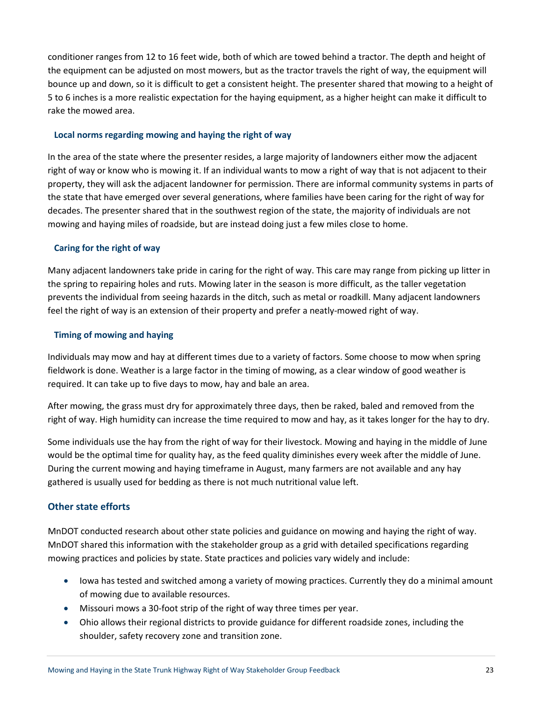conditioner ranges from 12 to 16 feet wide, both of which are towed behind a tractor. The depth and height of the equipment can be adjusted on most mowers, but as the tractor travels the right of way, the equipment will bounce up and down, so it is difficult to get a consistent height. The presenter shared that mowing to a height of 5 to 6 inches is a more realistic expectation for the haying equipment, as a higher height can make it difficult to rake the mowed area.

### **Local norms regarding mowing and haying the right of way**

In the area of the state where the presenter resides, a large majority of landowners either mow the adjacent right of way or know who is mowing it. If an individual wants to mow a right of way that is not adjacent to their property, they will ask the adjacent landowner for permission. There are informal community systems in parts of the state that have emerged over several generations, where families have been caring for the right of way for decades. The presenter shared that in the southwest region of the state, the majority of individuals are not mowing and haying miles of roadside, but are instead doing just a few miles close to home.

### **Caring for the right of way**

Many adjacent landowners take pride in caring for the right of way. This care may range from picking up litter in the spring to repairing holes and ruts. Mowing later in the season is more difficult, as the taller vegetation prevents the individual from seeing hazards in the ditch, such as metal or roadkill. Many adjacent landowners feel the right of way is an extension of their property and prefer a neatly-mowed right of way.

### **Timing of mowing and haying**

Individuals may mow and hay at different times due to a variety of factors. Some choose to mow when spring fieldwork is done. Weather is a large factor in the timing of mowing, as a clear window of good weather is required. It can take up to five days to mow, hay and bale an area.

After mowing, the grass must dry for approximately three days, then be raked, baled and removed from the right of way. High humidity can increase the time required to mow and hay, as it takes longer for the hay to dry.

Some individuals use the hay from the right of way for their livestock. Mowing and haying in the middle of June would be the optimal time for quality hay, as the feed quality diminishes every week after the middle of June. During the current mowing and haying timeframe in August, many farmers are not available and any hay gathered is usually used for bedding as there is not much nutritional value left.

### **Other state efforts**

MnDOT conducted research about other state policies and guidance on mowing and haying the right of way. MnDOT shared this information with the stakeholder group as a grid with detailed specifications regarding mowing practices and policies by state. State practices and policies vary widely and include:

- Iowa has tested and switched among a variety of mowing practices. Currently they do a minimal amount of mowing due to available resources.
- Missouri mows a 30-foot strip of the right of way three times per year.
- Ohio allows their regional districts to provide guidance for different roadside zones, including the shoulder, safety recovery zone and transition zone.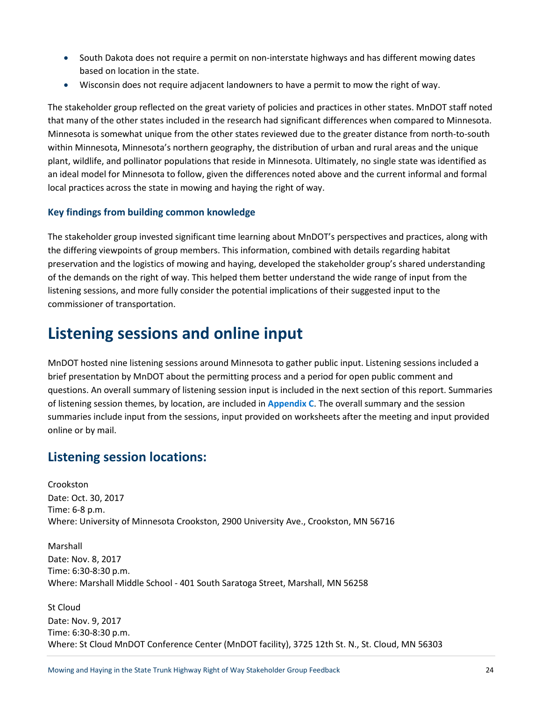- South Dakota does not require a permit on non-interstate highways and has different mowing dates based on location in the state.
- Wisconsin does not require adjacent landowners to have a permit to mow the right of way.

The stakeholder group reflected on the great variety of policies and practices in other states. MnDOT staff noted that many of the other states included in the research had significant differences when compared to Minnesota. Minnesota is somewhat unique from the other states reviewed due to the greater distance from north-to-south within Minnesota, Minnesota's northern geography, the distribution of urban and rural areas and the unique plant, wildlife, and pollinator populations that reside in Minnesota. Ultimately, no single state was identified as an ideal model for Minnesota to follow, given the differences noted above and the current informal and formal local practices across the state in mowing and haying the right of way.

### **Key findings from building common knowledge**

The stakeholder group invested significant time learning about MnDOT's perspectives and practices, along with the differing viewpoints of group members. This information, combined with details regarding habitat preservation and the logistics of mowing and haying, developed the stakeholder group's shared understanding of the demands on the right of way. This helped them better understand the wide range of input from the listening sessions, and more fully consider the potential implications of their suggested input to the commissioner of transportation.

# **Listening sessions and online input**

MnDOT hosted nine listening sessions around Minnesota to gather public input. Listening sessions included a brief presentation by MnDOT about the permitting process and a period for open public comment and questions. An overall summary of listening session input is included in the next section of this report. Summaries of listening session themes, by location, are included in **Appendix C**. The overall summary and the session summaries include input from the sessions, input provided on worksheets after the meeting and input provided online or by mail.

### **Listening session locations:**

Crookston Date: Oct. 30, 2017 Time: 6-8 p.m. Where: University of Minnesota Crookston, 2900 University Ave., Crookston, MN 56716

Marshall Date: Nov. 8, 2017 Time: 6:30-8:30 p.m. Where: Marshall Middle School - 401 South Saratoga Street, Marshall, MN 56258

St Cloud Date: Nov. 9, 2017 Time: 6:30-8:30 p.m. Where: St Cloud MnDOT Conference Center (MnDOT facility), 3725 12th St. N., St. Cloud, MN 56303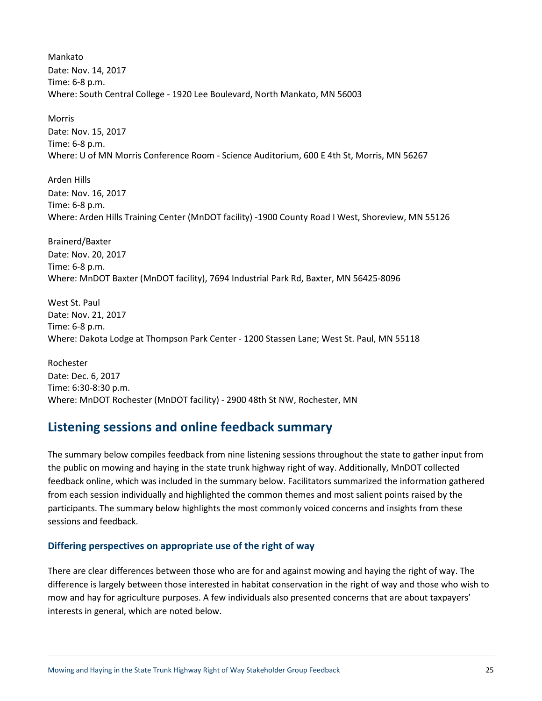Mankato Date: Nov. 14, 2017 Time: 6-8 p.m. Where: South Central College - 1920 Lee Boulevard, North Mankato, MN 56003

Morris Date: Nov. 15, 2017 Time: 6-8 p.m. Where: U of MN Morris Conference Room - Science Auditorium, 600 E 4th St, Morris, MN 56267

Arden Hills Date: Nov. 16, 2017 Time: 6-8 p.m. Where: Arden Hills Training Center (MnDOT facility) -1900 County Road I West, Shoreview, MN 55126

Brainerd/Baxter Date: Nov. 20, 2017 Time: 6-8 p.m. Where: MnDOT Baxter (MnDOT facility), 7694 Industrial Park Rd, Baxter, MN 56425-8096

West St. Paul Date: Nov. 21, 2017 Time: 6-8 p.m. Where: Dakota Lodge at Thompson Park Center - 1200 Stassen Lane; West St. Paul, MN 55118

Rochester Date: Dec. 6, 2017 Time: 6:30-8:30 p.m. Where: MnDOT Rochester (MnDOT facility) - 2900 48th St NW, Rochester, MN

## **Listening sessions and online feedback summary**

The summary below compiles feedback from nine listening sessions throughout the state to gather input from the public on mowing and haying in the state trunk highway right of way. Additionally, MnDOT collected feedback online, which was included in the summary below. Facilitators summarized the information gathered from each session individually and highlighted the common themes and most salient points raised by the participants. The summary below highlights the most commonly voiced concerns and insights from these sessions and feedback.

### **Differing perspectives on appropriate use of the right of way**

There are clear differences between those who are for and against mowing and haying the right of way. The difference is largely between those interested in habitat conservation in the right of way and those who wish to mow and hay for agriculture purposes. A few individuals also presented concerns that are about taxpayers' interests in general, which are noted below.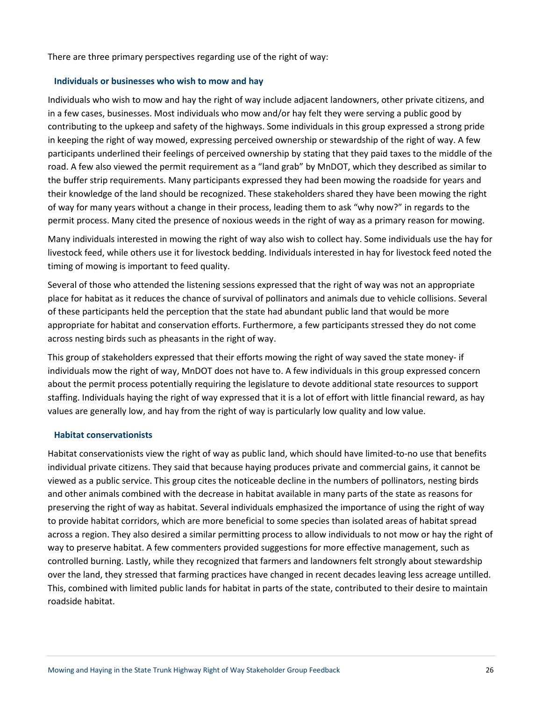There are three primary perspectives regarding use of the right of way:

#### **Individuals or businesses who wish to mow and hay**

Individuals who wish to mow and hay the right of way include adjacent landowners, other private citizens, and in a few cases, businesses. Most individuals who mow and/or hay felt they were serving a public good by contributing to the upkeep and safety of the highways. Some individuals in this group expressed a strong pride in keeping the right of way mowed, expressing perceived ownership or stewardship of the right of way. A few participants underlined their feelings of perceived ownership by stating that they paid taxes to the middle of the road. A few also viewed the permit requirement as a "land grab" by MnDOT, which they described as similar to the buffer strip requirements. Many participants expressed they had been mowing the roadside for years and their knowledge of the land should be recognized. These stakeholders shared they have been mowing the right of way for many years without a change in their process, leading them to ask "why now?" in regards to the permit process. Many cited the presence of noxious weeds in the right of way as a primary reason for mowing.

Many individuals interested in mowing the right of way also wish to collect hay. Some individuals use the hay for livestock feed, while others use it for livestock bedding. Individuals interested in hay for livestock feed noted the timing of mowing is important to feed quality.

Several of those who attended the listening sessions expressed that the right of way was not an appropriate place for habitat as it reduces the chance of survival of pollinators and animals due to vehicle collisions. Several of these participants held the perception that the state had abundant public land that would be more appropriate for habitat and conservation efforts. Furthermore, a few participants stressed they do not come across nesting birds such as pheasants in the right of way.

This group of stakeholders expressed that their efforts mowing the right of way saved the state money- if individuals mow the right of way, MnDOT does not have to. A few individuals in this group expressed concern about the permit process potentially requiring the legislature to devote additional state resources to support staffing. Individuals haying the right of way expressed that it is a lot of effort with little financial reward, as hay values are generally low, and hay from the right of way is particularly low quality and low value.

#### **Habitat conservationists**

Habitat conservationists view the right of way as public land, which should have limited-to-no use that benefits individual private citizens. They said that because haying produces private and commercial gains, it cannot be viewed as a public service. This group cites the noticeable decline in the numbers of pollinators, nesting birds and other animals combined with the decrease in habitat available in many parts of the state as reasons for preserving the right of way as habitat. Several individuals emphasized the importance of using the right of way to provide habitat corridors, which are more beneficial to some species than isolated areas of habitat spread across a region. They also desired a similar permitting process to allow individuals to not mow or hay the right of way to preserve habitat. A few commenters provided suggestions for more effective management, such as controlled burning. Lastly, while they recognized that farmers and landowners felt strongly about stewardship over the land, they stressed that farming practices have changed in recent decades leaving less acreage untilled. This, combined with limited public lands for habitat in parts of the state, contributed to their desire to maintain roadside habitat.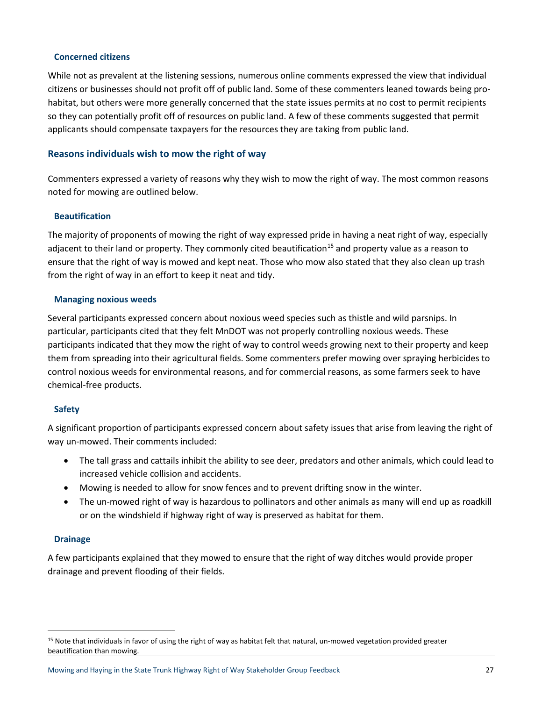#### **Concerned citizens**

While not as prevalent at the listening sessions, numerous online comments expressed the view that individual citizens or businesses should not profit off of public land. Some of these commenters leaned towards being prohabitat, but others were more generally concerned that the state issues permits at no cost to permit recipients so they can potentially profit off of resources on public land. A few of these comments suggested that permit applicants should compensate taxpayers for the resources they are taking from public land.

### **Reasons individuals wish to mow the right of way**

Commenters expressed a variety of reasons why they wish to mow the right of way. The most common reasons noted for mowing are outlined below.

### **Beautification**

The majority of proponents of mowing the right of way expressed pride in having a neat right of way, especially adjacent to their land or property. They commonly cited beautification<sup>[15](#page-26-0)</sup> and property value as a reason to ensure that the right of way is mowed and kept neat. Those who mow also stated that they also clean up trash from the right of way in an effort to keep it neat and tidy.

#### **Managing noxious weeds**

Several participants expressed concern about noxious weed species such as thistle and wild parsnips. In particular, participants cited that they felt MnDOT was not properly controlling noxious weeds. These participants indicated that they mow the right of way to control weeds growing next to their property and keep them from spreading into their agricultural fields. Some commenters prefer mowing over spraying herbicides to control noxious weeds for environmental reasons, and for commercial reasons, as some farmers seek to have chemical-free products.

### **Safety**

A significant proportion of participants expressed concern about safety issues that arise from leaving the right of way un-mowed. Their comments included:

- The tall grass and cattails inhibit the ability to see deer, predators and other animals, which could lead to increased vehicle collision and accidents.
- Mowing is needed to allow for snow fences and to prevent drifting snow in the winter.
- The un-mowed right of way is hazardous to pollinators and other animals as many will end up as roadkill or on the windshield if highway right of way is preserved as habitat for them.

### **Drainage**

A few participants explained that they mowed to ensure that the right of way ditches would provide proper drainage and prevent flooding of their fields.

<span id="page-26-0"></span> <sup>15</sup> Note that individuals in favor of using the right of way as habitat felt that natural, un-mowed vegetation provided greater beautification than mowing.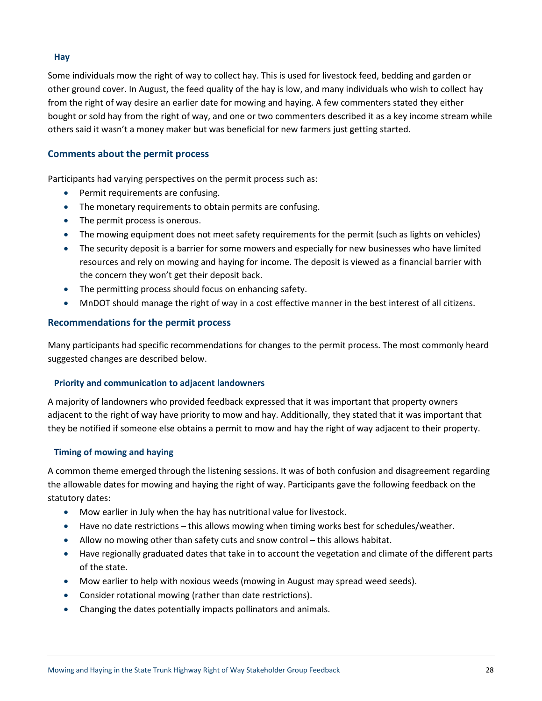#### **Hay**

Some individuals mow the right of way to collect hay. This is used for livestock feed, bedding and garden or other ground cover. In August, the feed quality of the hay is low, and many individuals who wish to collect hay from the right of way desire an earlier date for mowing and haying. A few commenters stated they either bought or sold hay from the right of way, and one or two commenters described it as a key income stream while others said it wasn't a money maker but was beneficial for new farmers just getting started.

### **Comments about the permit process**

Participants had varying perspectives on the permit process such as:

- Permit requirements are confusing.
- The monetary requirements to obtain permits are confusing.
- The permit process is onerous.
- The mowing equipment does not meet safety requirements for the permit (such as lights on vehicles)
- The security deposit is a barrier for some mowers and especially for new businesses who have limited resources and rely on mowing and haying for income. The deposit is viewed as a financial barrier with the concern they won't get their deposit back.
- The permitting process should focus on enhancing safety.
- MnDOT should manage the right of way in a cost effective manner in the best interest of all citizens.

### **Recommendations for the permit process**

Many participants had specific recommendations for changes to the permit process. The most commonly heard suggested changes are described below.

### **Priority and communication to adjacent landowners**

A majority of landowners who provided feedback expressed that it was important that property owners adjacent to the right of way have priority to mow and hay. Additionally, they stated that it was important that they be notified if someone else obtains a permit to mow and hay the right of way adjacent to their property.

### **Timing of mowing and haying**

A common theme emerged through the listening sessions. It was of both confusion and disagreement regarding the allowable dates for mowing and haying the right of way. Participants gave the following feedback on the statutory dates:

- Mow earlier in July when the hay has nutritional value for livestock.
- Have no date restrictions this allows mowing when timing works best for schedules/weather.
- Allow no mowing other than safety cuts and snow control this allows habitat.
- Have regionally graduated dates that take in to account the vegetation and climate of the different parts of the state.
- Mow earlier to help with noxious weeds (mowing in August may spread weed seeds).
- Consider rotational mowing (rather than date restrictions).
- Changing the dates potentially impacts pollinators and animals.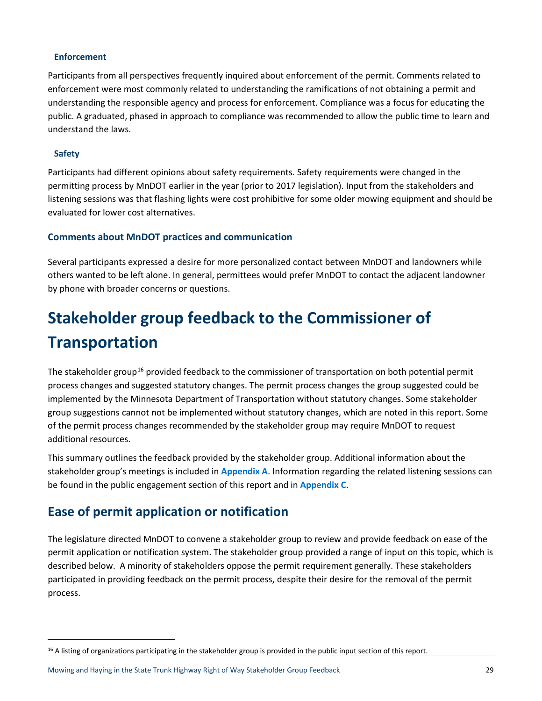#### **Enforcement**

Participants from all perspectives frequently inquired about enforcement of the permit. Comments related to enforcement were most commonly related to understanding the ramifications of not obtaining a permit and understanding the responsible agency and process for enforcement. Compliance was a focus for educating the public. A graduated, phased in approach to compliance was recommended to allow the public time to learn and understand the laws.

#### **Safety**

Participants had different opinions about safety requirements. Safety requirements were changed in the permitting process by MnDOT earlier in the year (prior to 2017 legislation). Input from the stakeholders and listening sessions was that flashing lights were cost prohibitive for some older mowing equipment and should be evaluated for lower cost alternatives.

### **Comments about MnDOT practices and communication**

Several participants expressed a desire for more personalized contact between MnDOT and landowners while others wanted to be left alone. In general, permittees would prefer MnDOT to contact the adjacent landowner by phone with broader concerns or questions.

# **Stakeholder group feedback to the Commissioner of Transportation**

The stakeholder group<sup>[16](#page-28-0)</sup> provided feedback to the commissioner of transportation on both potential permit process changes and suggested statutory changes. The permit process changes the group suggested could be implemented by the Minnesota Department of Transportation without statutory changes. Some stakeholder group suggestions cannot not be implemented without statutory changes, which are noted in this report. Some of the permit process changes recommended by the stakeholder group may require MnDOT to request additional resources.

This summary outlines the feedback provided by the stakeholder group. Additional information about the stakeholder group's meetings is included in **Appendix A**. Information regarding the related listening sessions can be found in the public engagement section of this report and in **Appendix C**.

## **Ease of permit application or notification**

The legislature directed MnDOT to convene a stakeholder group to review and provide feedback on ease of the permit application or notification system. The stakeholder group provided a range of input on this topic, which is described below. A minority of stakeholders oppose the permit requirement generally. These stakeholders participated in providing feedback on the permit process, despite their desire for the removal of the permit process.

<span id="page-28-0"></span><sup>&</sup>lt;sup>16</sup> A listing of organizations participating in the stakeholder group is provided in the public input section of this report.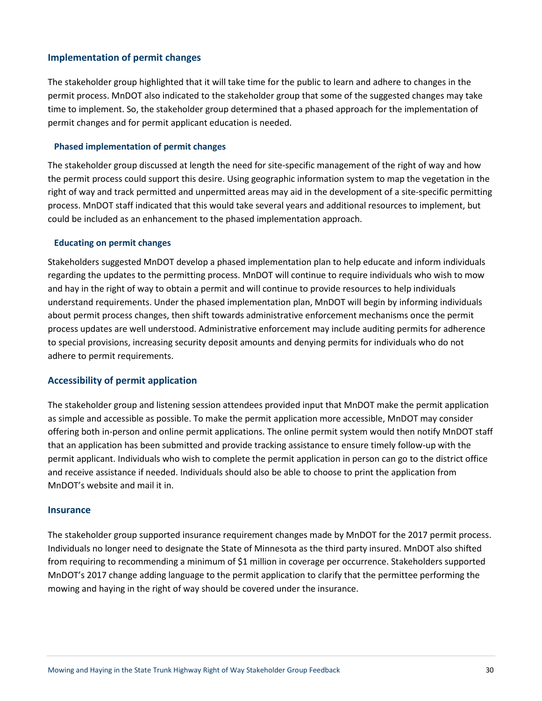### **Implementation of permit changes**

The stakeholder group highlighted that it will take time for the public to learn and adhere to changes in the permit process. MnDOT also indicated to the stakeholder group that some of the suggested changes may take time to implement. So, the stakeholder group determined that a phased approach for the implementation of permit changes and for permit applicant education is needed.

#### **Phased implementation of permit changes**

The stakeholder group discussed at length the need for site-specific management of the right of way and how the permit process could support this desire. Using geographic information system to map the vegetation in the right of way and track permitted and unpermitted areas may aid in the development of a site-specific permitting process. MnDOT staff indicated that this would take several years and additional resources to implement, but could be included as an enhancement to the phased implementation approach.

#### **Educating on permit changes**

Stakeholders suggested MnDOT develop a phased implementation plan to help educate and inform individuals regarding the updates to the permitting process. MnDOT will continue to require individuals who wish to mow and hay in the right of way to obtain a permit and will continue to provide resources to help individuals understand requirements. Under the phased implementation plan, MnDOT will begin by informing individuals about permit process changes, then shift towards administrative enforcement mechanisms once the permit process updates are well understood. Administrative enforcement may include auditing permits for adherence to special provisions, increasing security deposit amounts and denying permits for individuals who do not adhere to permit requirements.

### **Accessibility of permit application**

The stakeholder group and listening session attendees provided input that MnDOT make the permit application as simple and accessible as possible. To make the permit application more accessible, MnDOT may consider offering both in-person and online permit applications. The online permit system would then notify MnDOT staff that an application has been submitted and provide tracking assistance to ensure timely follow-up with the permit applicant. Individuals who wish to complete the permit application in person can go to the district office and receive assistance if needed. Individuals should also be able to choose to print the application from MnDOT's website and mail it in.

#### **Insurance**

The stakeholder group supported insurance requirement changes made by MnDOT for the 2017 permit process. Individuals no longer need to designate the State of Minnesota as the third party insured. MnDOT also shifted from requiring to recommending a minimum of \$1 million in coverage per occurrence. Stakeholders supported MnDOT's 2017 change adding language to the permit application to clarify that the permittee performing the mowing and haying in the right of way should be covered under the insurance.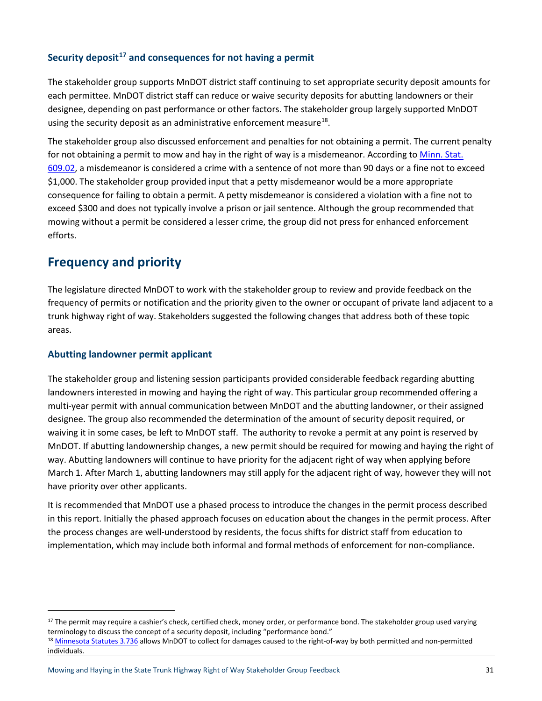### **Security deposit[17](#page-30-0) and consequences for not having a permit**

The stakeholder group supports MnDOT district staff continuing to set appropriate security deposit amounts for each permittee. MnDOT district staff can reduce or waive security deposits for abutting landowners or their designee, depending on past performance or other factors. The stakeholder group largely supported MnDOT using the security deposit as an administrative enforcement measure<sup>18</sup>.

The stakeholder group also discussed enforcement and penalties for not obtaining a permit. The current penalty for not obtaining a permit to mow and hay in the right of way is a misdemeanor. According to Minn. Stat. [609.02,](https://www.revisor.mn.gov/statutes/?id=609.02) a misdemeanor is considered a crime with a sentence of not more than 90 days or a fine not to exceed \$1,000. The stakeholder group provided input that a petty misdemeanor would be a more appropriate consequence for failing to obtain a permit. A petty misdemeanor is considered a violation with a fine not to exceed \$300 and does not typically involve a prison or jail sentence. Although the group recommended that mowing without a permit be considered a lesser crime, the group did not press for enhanced enforcement efforts.

# **Frequency and priority**

The legislature directed MnDOT to work with the stakeholder group to review and provide feedback on the frequency of permits or notification and the priority given to the owner or occupant of private land adjacent to a trunk highway right of way. Stakeholders suggested the following changes that address both of these topic areas.

### **Abutting landowner permit applicant**

The stakeholder group and listening session participants provided considerable feedback regarding abutting landowners interested in mowing and haying the right of way. This particular group recommended offering a multi-year permit with annual communication between MnDOT and the abutting landowner, or their assigned designee. The group also recommended the determination of the amount of security deposit required, or waiving it in some cases, be left to MnDOT staff. The authority to revoke a permit at any point is reserved by MnDOT. If abutting landownership changes, a new permit should be required for mowing and haying the right of way. Abutting landowners will continue to have priority for the adjacent right of way when applying before March 1. After March 1, abutting landowners may still apply for the adjacent right of way, however they will not have priority over other applicants.

It is recommended that MnDOT use a phased process to introduce the changes in the permit process described in this report. Initially the phased approach focuses on education about the changes in the permit process. After the process changes are well-understood by residents, the focus shifts for district staff from education to implementation, which may include both informal and formal methods of enforcement for non-compliance.

<span id="page-30-0"></span><sup>&</sup>lt;sup>17</sup> The permit may require a cashier's check, certified check, money order, or performance bond. The stakeholder group used varying terminology to discuss the concept of a security deposit, including "performance bond."

<span id="page-30-1"></span><sup>18</sup> [Minnesota Statutes 3.736](https://www.revisor.mn.gov/statutes/?id=3.736) allows MnDOT to collect for damages caused to the right-of-way by both permitted and non-permitted individuals.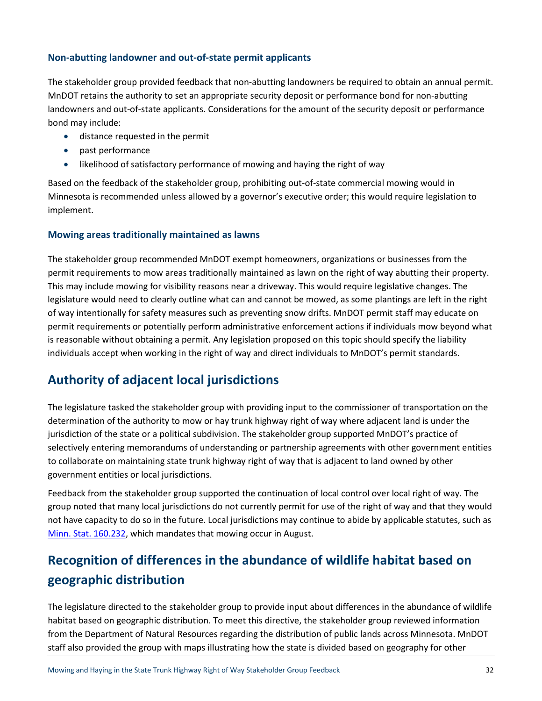### **Non-abutting landowner and out-of-state permit applicants**

The stakeholder group provided feedback that non-abutting landowners be required to obtain an annual permit. MnDOT retains the authority to set an appropriate security deposit or performance bond for non-abutting landowners and out-of-state applicants. Considerations for the amount of the security deposit or performance bond may include:

- distance requested in the permit
- past performance
- likelihood of satisfactory performance of mowing and haying the right of way

Based on the feedback of the stakeholder group, prohibiting out-of-state commercial mowing would in Minnesota is recommended unless allowed by a governor's executive order; this would require legislation to implement.

### **Mowing areas traditionally maintained as lawns**

The stakeholder group recommended MnDOT exempt homeowners, organizations or businesses from the permit requirements to mow areas traditionally maintained as lawn on the right of way abutting their property. This may include mowing for visibility reasons near a driveway. This would require legislative changes. The legislature would need to clearly outline what can and cannot be mowed, as some plantings are left in the right of way intentionally for safety measures such as preventing snow drifts. MnDOT permit staff may educate on permit requirements or potentially perform administrative enforcement actions if individuals mow beyond what is reasonable without obtaining a permit. Any legislation proposed on this topic should specify the liability individuals accept when working in the right of way and direct individuals to MnDOT's permit standards.

# **Authority of adjacent local jurisdictions**

The legislature tasked the stakeholder group with providing input to the commissioner of transportation on the determination of the authority to mow or hay trunk highway right of way where adjacent land is under the jurisdiction of the state or a political subdivision. The stakeholder group supported MnDOT's practice of selectively entering memorandums of understanding or partnership agreements with other government entities to collaborate on maintaining state trunk highway right of way that is adjacent to land owned by other government entities or local jurisdictions.

Feedback from the stakeholder group supported the continuation of local control over local right of way. The group noted that many local jurisdictions do not currently permit for use of the right of way and that they would not have capacity to do so in the future. Local jurisdictions may continue to abide by applicable statutes, such as [Minn. Stat. 160.232,](https://www.revisor.mn.gov/statutes/?id=160.232) which mandates that mowing occur in August.

# **Recognition of differences in the abundance of wildlife habitat based on geographic distribution**

The legislature directed to the stakeholder group to provide input about differences in the abundance of wildlife habitat based on geographic distribution. To meet this directive, the stakeholder group reviewed information from the Department of Natural Resources regarding the distribution of public lands across Minnesota. MnDOT staff also provided the group with maps illustrating how the state is divided based on geography for other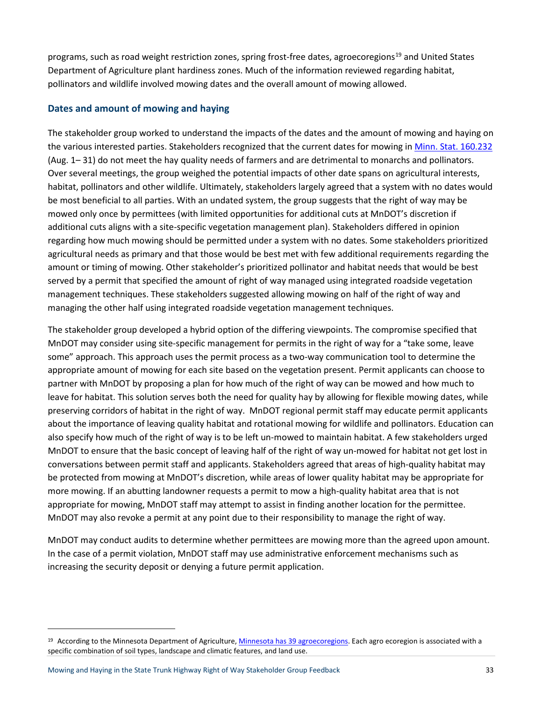programs, such as road weight restriction zones, spring frost-free dates, agroecoregions<sup>[19](#page-32-0)</sup> and United States Department of Agriculture plant hardiness zones. Much of the information reviewed regarding habitat, pollinators and wildlife involved mowing dates and the overall amount of mowing allowed.

### **Dates and amount of mowing and haying**

The stakeholder group worked to understand the impacts of the dates and the amount of mowing and haying on the various interested parties. Stakeholders recognized that the current dates for mowing i[n Minn. Stat. 160.232](https://www.revisor.mn.gov/statutes/?id=160.232) (Aug. 1– 31) do not meet the hay quality needs of farmers and are detrimental to monarchs and pollinators. Over several meetings, the group weighed the potential impacts of other date spans on agricultural interests, habitat, pollinators and other wildlife. Ultimately, stakeholders largely agreed that a system with no dates would be most beneficial to all parties. With an undated system, the group suggests that the right of way may be mowed only once by permittees (with limited opportunities for additional cuts at MnDOT's discretion if additional cuts aligns with a site-specific vegetation management plan). Stakeholders differed in opinion regarding how much mowing should be permitted under a system with no dates. Some stakeholders prioritized agricultural needs as primary and that those would be best met with few additional requirements regarding the amount or timing of mowing. Other stakeholder's prioritized pollinator and habitat needs that would be best served by a permit that specified the amount of right of way managed using integrated roadside vegetation management techniques. These stakeholders suggested allowing mowing on half of the right of way and managing the other half using integrated roadside vegetation management techniques.

The stakeholder group developed a hybrid option of the differing viewpoints. The compromise specified that MnDOT may consider using site-specific management for permits in the right of way for a "take some, leave some" approach. This approach uses the permit process as a two-way communication tool to determine the appropriate amount of mowing for each site based on the vegetation present. Permit applicants can choose to partner with MnDOT by proposing a plan for how much of the right of way can be mowed and how much to leave for habitat. This solution serves both the need for quality hay by allowing for flexible mowing dates, while preserving corridors of habitat in the right of way. MnDOT regional permit staff may educate permit applicants about the importance of leaving quality habitat and rotational mowing for wildlife and pollinators. Education can also specify how much of the right of way is to be left un-mowed to maintain habitat. A few stakeholders urged MnDOT to ensure that the basic concept of leaving half of the right of way un-mowed for habitat not get lost in conversations between permit staff and applicants. Stakeholders agreed that areas of high-quality habitat may be protected from mowing at MnDOT's discretion, while areas of lower quality habitat may be appropriate for more mowing. If an abutting landowner requests a permit to mow a high-quality habitat area that is not appropriate for mowing, MnDOT staff may attempt to assist in finding another location for the permittee. MnDOT may also revoke a permit at any point due to their responsibility to manage the right of way.

MnDOT may conduct audits to determine whether permittees are mowing more than the agreed upon amount. In the case of a permit violation, MnDOT staff may use administrative enforcement mechanisms such as increasing the security deposit or denying a future permit application.

l

<span id="page-32-0"></span><sup>&</sup>lt;sup>19</sup> According to the Minnesota Department of Agriculture, [Minnesota has 39 agroecoregions.](https://gisdata.mn.gov/dataset/agri-agroecoregions) Each agro ecoregion is associated with a specific combination of soil types, landscape and climatic features, and land use.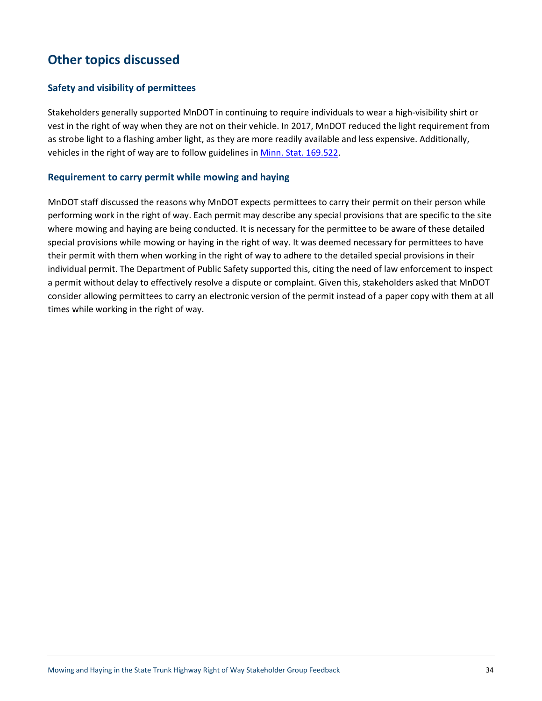# **Other topics discussed**

### **Safety and visibility of permittees**

Stakeholders generally supported MnDOT in continuing to require individuals to wear a high-visibility shirt or vest in the right of way when they are not on their vehicle. In 2017, MnDOT reduced the light requirement from as strobe light to a flashing amber light, as they are more readily available and less expensive. Additionally, vehicles in the right of way are to follow guidelines in [Minn. Stat. 169.522.](https://www.revisor.mn.gov/statutes/?id=169.522)

### **Requirement to carry permit while mowing and haying**

MnDOT staff discussed the reasons why MnDOT expects permittees to carry their permit on their person while performing work in the right of way. Each permit may describe any special provisions that are specific to the site where mowing and haying are being conducted. It is necessary for the permittee to be aware of these detailed special provisions while mowing or haying in the right of way. It was deemed necessary for permittees to have their permit with them when working in the right of way to adhere to the detailed special provisions in their individual permit. The Department of Public Safety supported this, citing the need of law enforcement to inspect a permit without delay to effectively resolve a dispute or complaint. Given this, stakeholders asked that MnDOT consider allowing permittees to carry an electronic version of the permit instead of a paper copy with them at all times while working in the right of way.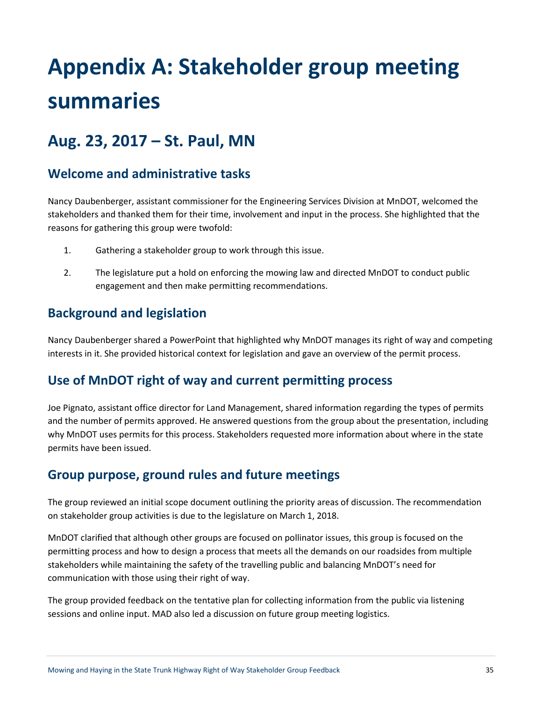# **Appendix A: Stakeholder group meeting summaries**

# **Aug. 23, 2017 – St. Paul, MN**

# **Welcome and administrative tasks**

Nancy Daubenberger, assistant commissioner for the Engineering Services Division at MnDOT, welcomed the stakeholders and thanked them for their time, involvement and input in the process. She highlighted that the reasons for gathering this group were twofold:

- 1. Gathering a stakeholder group to work through this issue.
- 2. The legislature put a hold on enforcing the mowing law and directed MnDOT to conduct public engagement and then make permitting recommendations.

# **Background and legislation**

Nancy Daubenberger shared a PowerPoint that highlighted why MnDOT manages its right of way and competing interests in it. She provided historical context for legislation and gave an overview of the permit process.

# **Use of MnDOT right of way and current permitting process**

Joe Pignato, assistant office director for Land Management, shared information regarding the types of permits and the number of permits approved. He answered questions from the group about the presentation, including why MnDOT uses permits for this process. Stakeholders requested more information about where in the state permits have been issued.

## **Group purpose, ground rules and future meetings**

The group reviewed an initial scope document outlining the priority areas of discussion. The recommendation on stakeholder group activities is due to the legislature on March 1, 2018.

MnDOT clarified that although other groups are focused on pollinator issues, this group is focused on the permitting process and how to design a process that meets all the demands on our roadsides from multiple stakeholders while maintaining the safety of the travelling public and balancing MnDOT's need for communication with those using their right of way.

The group provided feedback on the tentative plan for collecting information from the public via listening sessions and online input. MAD also led a discussion on future group meeting logistics.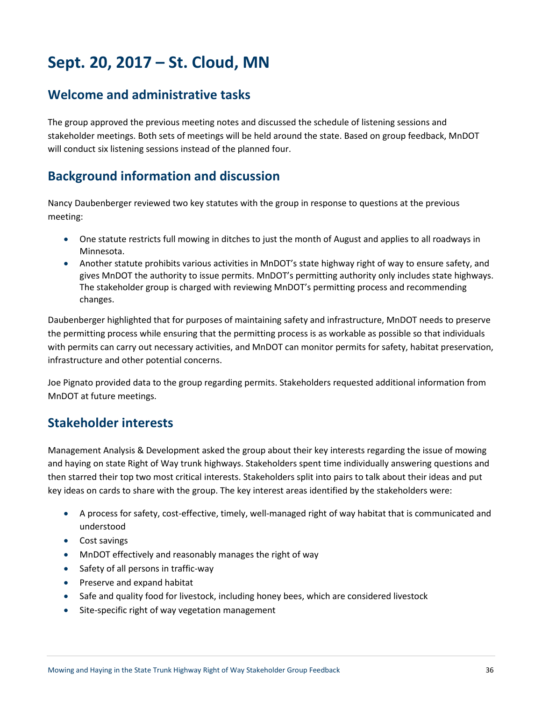# **Sept. 20, 2017 – St. Cloud, MN**

# **Welcome and administrative tasks**

The group approved the previous meeting notes and discussed the schedule of listening sessions and stakeholder meetings. Both sets of meetings will be held around the state. Based on group feedback, MnDOT will conduct six listening sessions instead of the planned four.

# **Background information and discussion**

Nancy Daubenberger reviewed two key statutes with the group in response to questions at the previous meeting:

- One statute restricts full mowing in ditches to just the month of August and applies to all roadways in Minnesota.
- Another statute prohibits various activities in MnDOT's state highway right of way to ensure safety, and gives MnDOT the authority to issue permits. MnDOT's permitting authority only includes state highways. The stakeholder group is charged with reviewing MnDOT's permitting process and recommending changes.

Daubenberger highlighted that for purposes of maintaining safety and infrastructure, MnDOT needs to preserve the permitting process while ensuring that the permitting process is as workable as possible so that individuals with permits can carry out necessary activities, and MnDOT can monitor permits for safety, habitat preservation, infrastructure and other potential concerns.

Joe Pignato provided data to the group regarding permits. Stakeholders requested additional information from MnDOT at future meetings.

# **Stakeholder interests**

Management Analysis & Development asked the group about their key interests regarding the issue of mowing and haying on state Right of Way trunk highways. Stakeholders spent time individually answering questions and then starred their top two most critical interests. Stakeholders split into pairs to talk about their ideas and put key ideas on cards to share with the group. The key interest areas identified by the stakeholders were:

- A process for safety, cost-effective, timely, well-managed right of way habitat that is communicated and understood
- Cost savings
- MnDOT effectively and reasonably manages the right of way
- Safety of all persons in traffic-way
- Preserve and expand habitat
- Safe and quality food for livestock, including honey bees, which are considered livestock
- Site-specific right of way vegetation management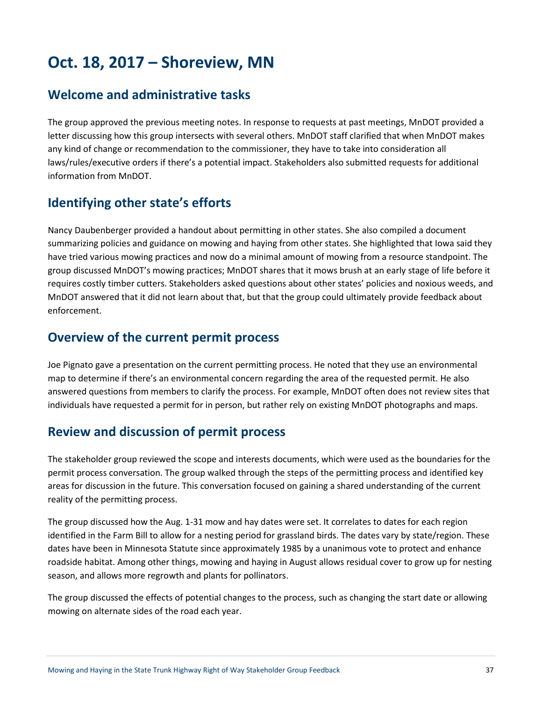# **Oct. 18, 2017 – Shoreview, MN**

## **Welcome and administrative tasks**

The group approved the previous meeting notes. In response to requests at past meetings, MnDOT provided a letter discussing how this group intersects with several others. MnDOT staff clarified that when MnDOT makes any kind of change or recommendation to the commissioner, they have to take into consideration all laws/rules/executive orders if there's a potential impact. Stakeholders also submitted requests for additional information from MnDOT.

# **Identifying other state's efforts**

Nancy Daubenberger provided a handout about permitting in other states. She also compiled a document summarizing policies and guidance on mowing and haying from other states. She highlighted that Iowa said they have tried various mowing practices and now do a minimal amount of mowing from a resource standpoint. The group discussed MnDOT's mowing practices; MnDOT shares that it mows brush at an early stage of life before it requires costly timber cutters. Stakeholders asked questions about other states' policies and noxious weeds, and MnDOT answered that it did not learn about that, but that the group could ultimately provide feedback about enforcement.

## **Overview of the current permit process**

Joe Pignato gave a presentation on the current permitting process. He noted that they use an environmental map to determine if there's an environmental concern regarding the area of the requested permit. He also answered questions from members to clarify the process. For example, MnDOT often does not review sites that individuals have requested a permit for in person, but rather rely on existing MnDOT photographs and maps.

# **Review and discussion of permit process**

The stakeholder group reviewed the scope and interests documents, which were used as the boundaries for the permit process conversation. The group walked through the steps of the permitting process and identified key areas for discussion in the future. This conversation focused on gaining a shared understanding of the current reality of the permitting process.

The group discussed how the Aug. 1-31 mow and hay dates were set. It correlates to dates for each region identified in the Farm Bill to allow for a nesting period for grassland birds. The dates vary by state/region. These dates have been in Minnesota Statute since approximately 1985 by a unanimous vote to protect and enhance roadside habitat. Among other things, mowing and haying in August allows residual cover to grow up for nesting season, and allows more regrowth and plants for pollinators.

The group discussed the effects of potential changes to the process, such as changing the start date or allowing mowing on alternate sides of the road each year.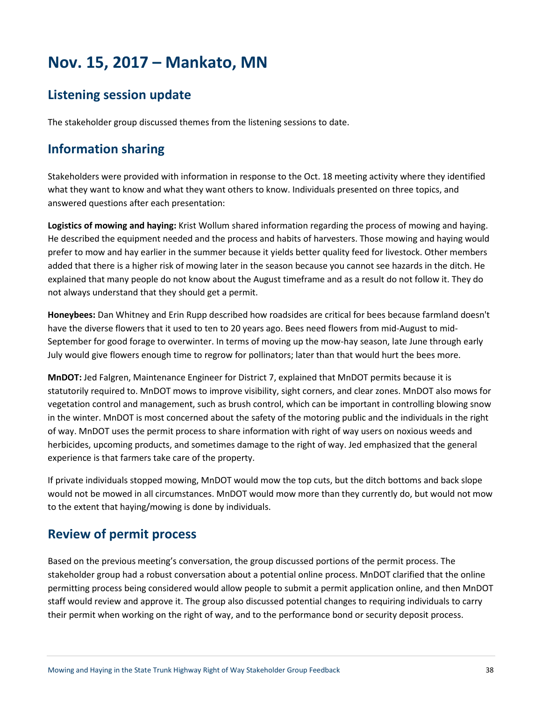# **Nov. 15, 2017 – Mankato, MN**

# **Listening session update**

The stakeholder group discussed themes from the listening sessions to date.

# **Information sharing**

Stakeholders were provided with information in response to the Oct. 18 meeting activity where they identified what they want to know and what they want others to know. Individuals presented on three topics, and answered questions after each presentation:

**Logistics of mowing and haying:** Krist Wollum shared information regarding the process of mowing and haying. He described the equipment needed and the process and habits of harvesters. Those mowing and haying would prefer to mow and hay earlier in the summer because it yields better quality feed for livestock. Other members added that there is a higher risk of mowing later in the season because you cannot see hazards in the ditch. He explained that many people do not know about the August timeframe and as a result do not follow it. They do not always understand that they should get a permit.

**Honeybees:** Dan Whitney and Erin Rupp described how roadsides are critical for bees because farmland doesn't have the diverse flowers that it used to ten to 20 years ago. Bees need flowers from mid-August to mid-September for good forage to overwinter. In terms of moving up the mow-hay season, late June through early July would give flowers enough time to regrow for pollinators; later than that would hurt the bees more.

**MnDOT:** Jed Falgren, Maintenance Engineer for District 7, explained that MnDOT permits because it is statutorily required to. MnDOT mows to improve visibility, sight corners, and clear zones. MnDOT also mows for vegetation control and management, such as brush control, which can be important in controlling blowing snow in the winter. MnDOT is most concerned about the safety of the motoring public and the individuals in the right of way. MnDOT uses the permit process to share information with right of way users on noxious weeds and herbicides, upcoming products, and sometimes damage to the right of way. Jed emphasized that the general experience is that farmers take care of the property.

If private individuals stopped mowing, MnDOT would mow the top cuts, but the ditch bottoms and back slope would not be mowed in all circumstances. MnDOT would mow more than they currently do, but would not mow to the extent that haying/mowing is done by individuals.

# **Review of permit process**

Based on the previous meeting's conversation, the group discussed portions of the permit process. The stakeholder group had a robust conversation about a potential online process. MnDOT clarified that the online permitting process being considered would allow people to submit a permit application online, and then MnDOT staff would review and approve it. The group also discussed potential changes to requiring individuals to carry their permit when working on the right of way, and to the performance bond or security deposit process.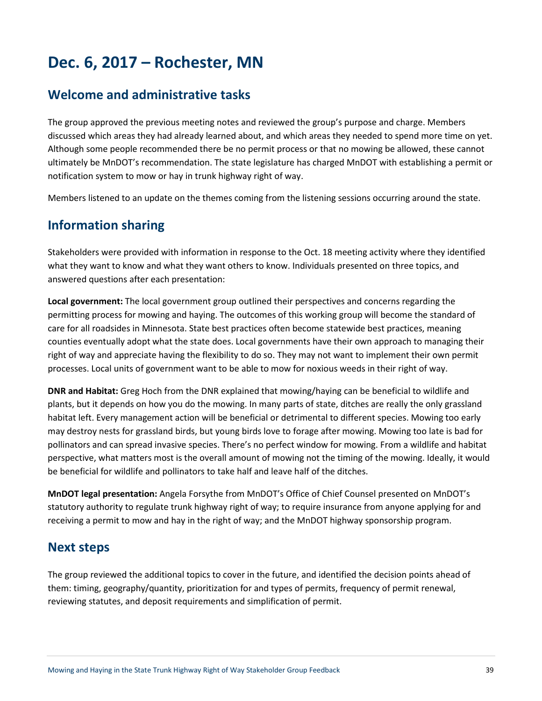# **Dec. 6, 2017 – Rochester, MN**

## **Welcome and administrative tasks**

The group approved the previous meeting notes and reviewed the group's purpose and charge. Members discussed which areas they had already learned about, and which areas they needed to spend more time on yet. Although some people recommended there be no permit process or that no mowing be allowed, these cannot ultimately be MnDOT's recommendation. The state legislature has charged MnDOT with establishing a permit or notification system to mow or hay in trunk highway right of way.

Members listened to an update on the themes coming from the listening sessions occurring around the state.

## **Information sharing**

Stakeholders were provided with information in response to the Oct. 18 meeting activity where they identified what they want to know and what they want others to know. Individuals presented on three topics, and answered questions after each presentation:

**Local government:** The local government group outlined their perspectives and concerns regarding the permitting process for mowing and haying. The outcomes of this working group will become the standard of care for all roadsides in Minnesota. State best practices often become statewide best practices, meaning counties eventually adopt what the state does. Local governments have their own approach to managing their right of way and appreciate having the flexibility to do so. They may not want to implement their own permit processes. Local units of government want to be able to mow for noxious weeds in their right of way.

**DNR and Habitat:** Greg Hoch from the DNR explained that mowing/haying can be beneficial to wildlife and plants, but it depends on how you do the mowing. In many parts of state, ditches are really the only grassland habitat left. Every management action will be beneficial or detrimental to different species. Mowing too early may destroy nests for grassland birds, but young birds love to forage after mowing. Mowing too late is bad for pollinators and can spread invasive species. There's no perfect window for mowing. From a wildlife and habitat perspective, what matters most is the overall amount of mowing not the timing of the mowing. Ideally, it would be beneficial for wildlife and pollinators to take half and leave half of the ditches.

**MnDOT legal presentation:** Angela Forsythe from MnDOT's Office of Chief Counsel presented on MnDOT's statutory authority to regulate trunk highway right of way; to require insurance from anyone applying for and receiving a permit to mow and hay in the right of way; and the MnDOT highway sponsorship program.

### **Next steps**

The group reviewed the additional topics to cover in the future, and identified the decision points ahead of them: timing, geography/quantity, prioritization for and types of permits, frequency of permit renewal, reviewing statutes, and deposit requirements and simplification of permit.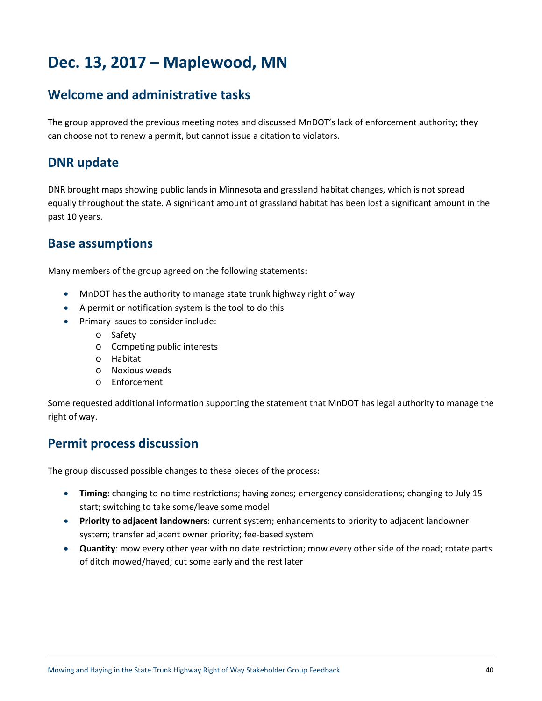# **Dec. 13, 2017 – Maplewood, MN**

# **Welcome and administrative tasks**

The group approved the previous meeting notes and discussed MnDOT's lack of enforcement authority; they can choose not to renew a permit, but cannot issue a citation to violators.

## **DNR update**

DNR brought maps showing public lands in Minnesota and grassland habitat changes, which is not spread equally throughout the state. A significant amount of grassland habitat has been lost a significant amount in the past 10 years.

### **Base assumptions**

Many members of the group agreed on the following statements:

- MnDOT has the authority to manage state trunk highway right of way
- A permit or notification system is the tool to do this
- Primary issues to consider include:
	- o Safety
	- o Competing public interests
	- o Habitat
	- o Noxious weeds
	- o Enforcement

Some requested additional information supporting the statement that MnDOT has legal authority to manage the right of way.

### **Permit process discussion**

The group discussed possible changes to these pieces of the process:

- **Timing:** changing to no time restrictions; having zones; emergency considerations; changing to July 15 start; switching to take some/leave some model
- **Priority to adjacent landowners**: current system; enhancements to priority to adjacent landowner system; transfer adjacent owner priority; fee-based system
- **Quantity**: mow every other year with no date restriction; mow every other side of the road; rotate parts of ditch mowed/hayed; cut some early and the rest later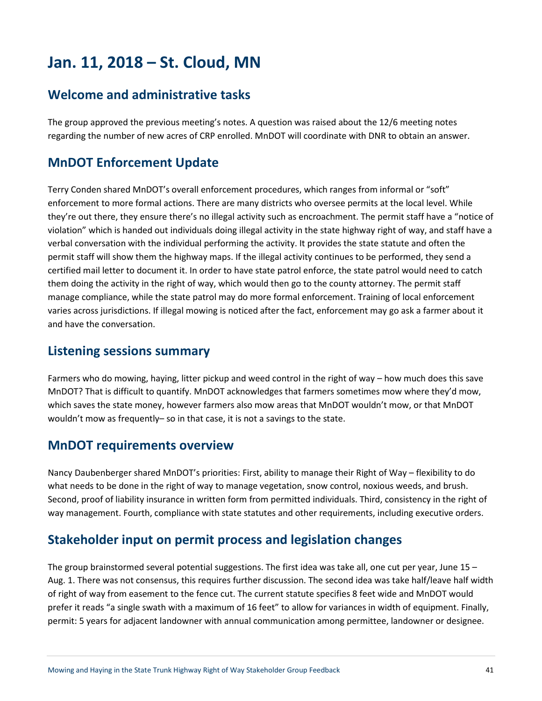# **Jan. 11, 2018 – St. Cloud, MN**

## **Welcome and administrative tasks**

The group approved the previous meeting's notes. A question was raised about the 12/6 meeting notes regarding the number of new acres of CRP enrolled. MnDOT will coordinate with DNR to obtain an answer.

## **MnDOT Enforcement Update**

Terry Conden shared MnDOT's overall enforcement procedures, which ranges from informal or "soft" enforcement to more formal actions. There are many districts who oversee permits at the local level. While they're out there, they ensure there's no illegal activity such as encroachment. The permit staff have a "notice of violation" which is handed out individuals doing illegal activity in the state highway right of way, and staff have a verbal conversation with the individual performing the activity. It provides the state statute and often the permit staff will show them the highway maps. If the illegal activity continues to be performed, they send a certified mail letter to document it. In order to have state patrol enforce, the state patrol would need to catch them doing the activity in the right of way, which would then go to the county attorney. The permit staff manage compliance, while the state patrol may do more formal enforcement. Training of local enforcement varies across jurisdictions. If illegal mowing is noticed after the fact, enforcement may go ask a farmer about it and have the conversation.

### **Listening sessions summary**

Farmers who do mowing, haying, litter pickup and weed control in the right of way – how much does this save MnDOT? That is difficult to quantify. MnDOT acknowledges that farmers sometimes mow where they'd mow, which saves the state money, however farmers also mow areas that MnDOT wouldn't mow, or that MnDOT wouldn't mow as frequently– so in that case, it is not a savings to the state.

### **MnDOT requirements overview**

Nancy Daubenberger shared MnDOT's priorities: First, ability to manage their Right of Way – flexibility to do what needs to be done in the right of way to manage vegetation, snow control, noxious weeds, and brush. Second, proof of liability insurance in written form from permitted individuals. Third, consistency in the right of way management. Fourth, compliance with state statutes and other requirements, including executive orders.

## **Stakeholder input on permit process and legislation changes**

The group brainstormed several potential suggestions. The first idea was take all, one cut per year, June 15 – Aug. 1. There was not consensus, this requires further discussion. The second idea was take half/leave half width of right of way from easement to the fence cut. The current statute specifies 8 feet wide and MnDOT would prefer it reads "a single swath with a maximum of 16 feet" to allow for variances in width of equipment. Finally, permit: 5 years for adjacent landowner with annual communication among permittee, landowner or designee.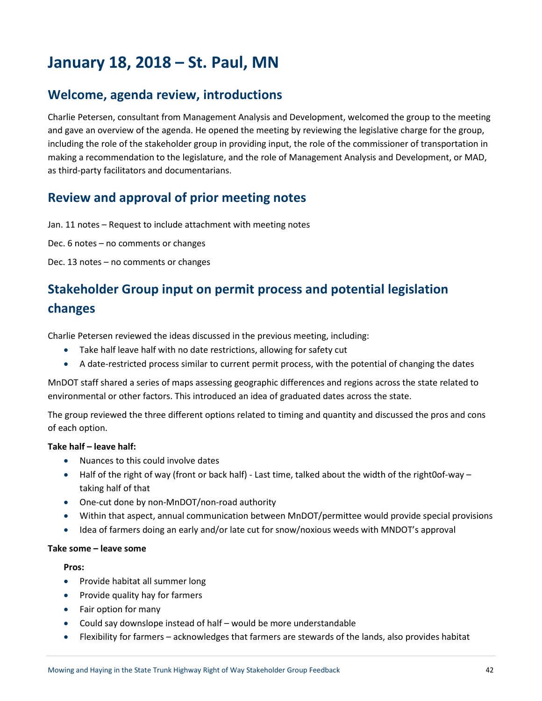# **January 18, 2018 – St. Paul, MN**

## **Welcome, agenda review, introductions**

Charlie Petersen, consultant from Management Analysis and Development, welcomed the group to the meeting and gave an overview of the agenda. He opened the meeting by reviewing the legislative charge for the group, including the role of the stakeholder group in providing input, the role of the commissioner of transportation in making a recommendation to the legislature, and the role of Management Analysis and Development, or MAD, as third-party facilitators and documentarians.

## **Review and approval of prior meeting notes**

Jan. 11 notes – Request to include attachment with meeting notes

Dec. 6 notes – no comments or changes

Dec. 13 notes – no comments or changes

# **Stakeholder Group input on permit process and potential legislation**

### **changes**

Charlie Petersen reviewed the ideas discussed in the previous meeting, including:

- Take half leave half with no date restrictions, allowing for safety cut
- A date-restricted process similar to current permit process, with the potential of changing the dates

MnDOT staff shared a series of maps assessing geographic differences and regions across the state related to environmental or other factors. This introduced an idea of graduated dates across the state.

The group reviewed the three different options related to timing and quantity and discussed the pros and cons of each option.

### **Take half – leave half:**

- Nuances to this could involve dates
- Half of the right of way (front or back half) Last time, talked about the width of the right0of-way taking half of that
- One-cut done by non-MnDOT/non-road authority
- Within that aspect, annual communication between MnDOT/permittee would provide special provisions
- Idea of farmers doing an early and/or late cut for snow/noxious weeds with MNDOT's approval

#### **Take some – leave some**

#### **Pros:**

- Provide habitat all summer long
- Provide quality hay for farmers
- Fair option for many
- Could say downslope instead of half would be more understandable
- Flexibility for farmers acknowledges that farmers are stewards of the lands, also provides habitat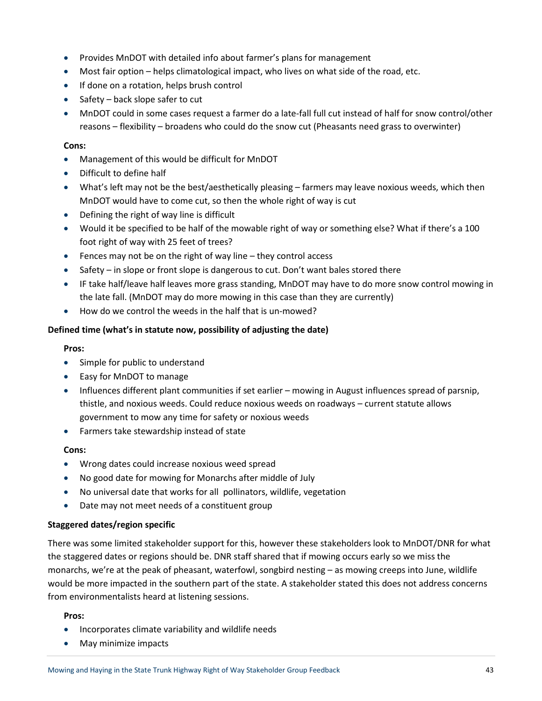- Provides MnDOT with detailed info about farmer's plans for management
- Most fair option helps climatological impact, who lives on what side of the road, etc.
- If done on a rotation, helps brush control
- Safety back slope safer to cut
- MnDOT could in some cases request a farmer do a late-fall full cut instead of half for snow control/other reasons – flexibility – broadens who could do the snow cut (Pheasants need grass to overwinter)

#### **Cons:**

- Management of this would be difficult for MnDOT
- Difficult to define half
- What's left may not be the best/aesthetically pleasing farmers may leave noxious weeds, which then MnDOT would have to come cut, so then the whole right of way is cut
- Defining the right of way line is difficult
- Would it be specified to be half of the mowable right of way or something else? What if there's a 100 foot right of way with 25 feet of trees?
- Fences may not be on the right of way line they control access
- Safety in slope or front slope is dangerous to cut. Don't want bales stored there
- IF take half/leave half leaves more grass standing, MnDOT may have to do more snow control mowing in the late fall. (MnDOT may do more mowing in this case than they are currently)
- How do we control the weeds in the half that is un-mowed?

### **Defined time (what's in statute now, possibility of adjusting the date)**

#### **Pros:**

- Simple for public to understand
- Easy for MnDOT to manage
- Influences different plant communities if set earlier mowing in August influences spread of parsnip, thistle, and noxious weeds. Could reduce noxious weeds on roadways – current statute allows government to mow any time for safety or noxious weeds
- Farmers take stewardship instead of state

### **Cons:**

- Wrong dates could increase noxious weed spread
- No good date for mowing for Monarchs after middle of July
- No universal date that works for all pollinators, wildlife, vegetation
- Date may not meet needs of a constituent group

### **Staggered dates/region specific**

There was some limited stakeholder support for this, however these stakeholders look to MnDOT/DNR for what the staggered dates or regions should be. DNR staff shared that if mowing occurs early so we miss the monarchs, we're at the peak of pheasant, waterfowl, songbird nesting – as mowing creeps into June, wildlife would be more impacted in the southern part of the state. A stakeholder stated this does not address concerns from environmentalists heard at listening sessions.

#### **Pros:**

- Incorporates climate variability and wildlife needs
- May minimize impacts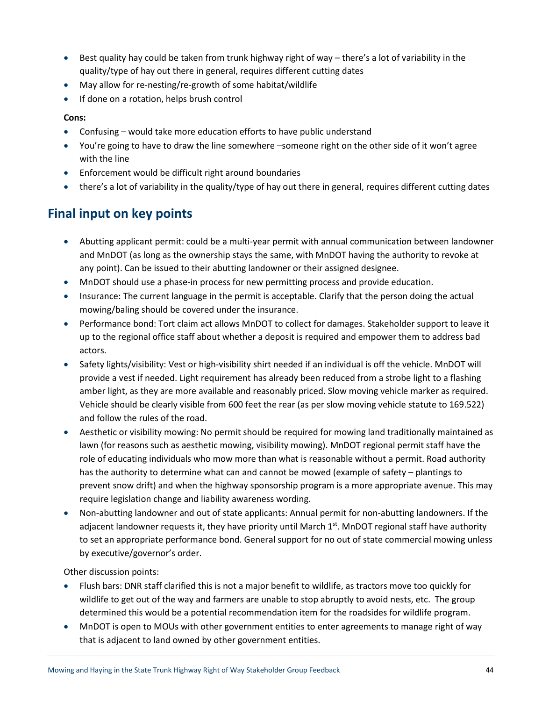- Best quality hay could be taken from trunk highway right of way there's a lot of variability in the quality/type of hay out there in general, requires different cutting dates
- May allow for re-nesting/re-growth of some habitat/wildlife
- If done on a rotation, helps brush control

### **Cons:**

- Confusing would take more education efforts to have public understand
- You're going to have to draw the line somewhere –someone right on the other side of it won't agree with the line
- Enforcement would be difficult right around boundaries
- there's a lot of variability in the quality/type of hay out there in general, requires different cutting dates

# **Final input on key points**

- Abutting applicant permit: could be a multi-year permit with annual communication between landowner and MnDOT (as long as the ownership stays the same, with MnDOT having the authority to revoke at any point). Can be issued to their abutting landowner or their assigned designee.
- MnDOT should use a phase-in process for new permitting process and provide education.
- Insurance: The current language in the permit is acceptable. Clarify that the person doing the actual mowing/baling should be covered under the insurance.
- Performance bond: Tort claim act allows MnDOT to collect for damages. Stakeholder support to leave it up to the regional office staff about whether a deposit is required and empower them to address bad actors.
- Safety lights/visibility: Vest or high-visibility shirt needed if an individual is off the vehicle. MnDOT will provide a vest if needed. Light requirement has already been reduced from a strobe light to a flashing amber light, as they are more available and reasonably priced. Slow moving vehicle marker as required. Vehicle should be clearly visible from 600 feet the rear (as per slow moving vehicle statute to 169.522) and follow the rules of the road.
- Aesthetic or visibility mowing: No permit should be required for mowing land traditionally maintained as lawn (for reasons such as aesthetic mowing, visibility mowing). MnDOT regional permit staff have the role of educating individuals who mow more than what is reasonable without a permit. Road authority has the authority to determine what can and cannot be mowed (example of safety – plantings to prevent snow drift) and when the highway sponsorship program is a more appropriate avenue. This may require legislation change and liability awareness wording.
- Non-abutting landowner and out of state applicants: Annual permit for non-abutting landowners. If the adjacent landowner requests it, they have priority until March  $1<sup>st</sup>$ . MnDOT regional staff have authority to set an appropriate performance bond. General support for no out of state commercial mowing unless by executive/governor's order.

Other discussion points:

- Flush bars: DNR staff clarified this is not a major benefit to wildlife, as tractors move too quickly for wildlife to get out of the way and farmers are unable to stop abruptly to avoid nests, etc. The group determined this would be a potential recommendation item for the roadsides for wildlife program.
- MnDOT is open to MOUs with other government entities to enter agreements to manage right of way that is adjacent to land owned by other government entities.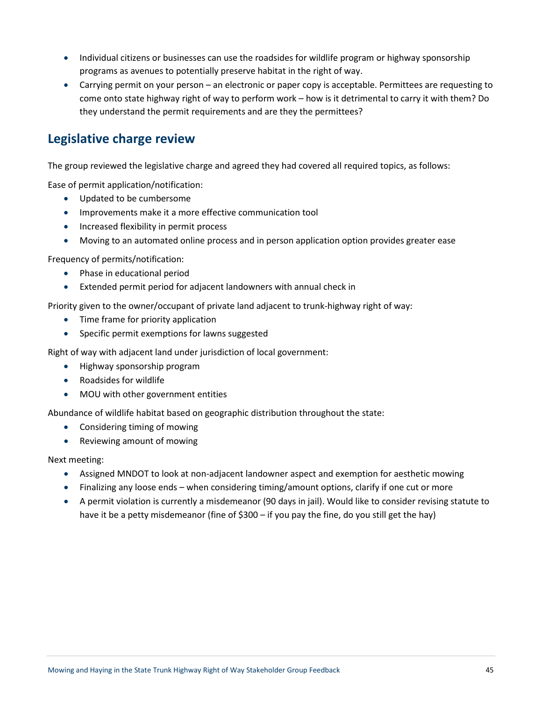- Individual citizens or businesses can use the roadsides for wildlife program or highway sponsorship programs as avenues to potentially preserve habitat in the right of way.
- Carrying permit on your person an electronic or paper copy is acceptable. Permittees are requesting to come onto state highway right of way to perform work – how is it detrimental to carry it with them? Do they understand the permit requirements and are they the permittees?

### **Legislative charge review**

The group reviewed the legislative charge and agreed they had covered all required topics, as follows:

Ease of permit application/notification:

- Updated to be cumbersome
- Improvements make it a more effective communication tool
- Increased flexibility in permit process
- Moving to an automated online process and in person application option provides greater ease

Frequency of permits/notification:

- Phase in educational period
- Extended permit period for adjacent landowners with annual check in

Priority given to the owner/occupant of private land adjacent to trunk-highway right of way:

- Time frame for priority application
- Specific permit exemptions for lawns suggested

Right of way with adjacent land under jurisdiction of local government:

- Highway sponsorship program
- Roadsides for wildlife
- MOU with other government entities

Abundance of wildlife habitat based on geographic distribution throughout the state:

- Considering timing of mowing
- Reviewing amount of mowing

### Next meeting:

- Assigned MNDOT to look at non-adjacent landowner aspect and exemption for aesthetic mowing
- Finalizing any loose ends when considering timing/amount options, clarify if one cut or more
- A permit violation is currently a misdemeanor (90 days in jail). Would like to consider revising statute to have it be a petty misdemeanor (fine of \$300 – if you pay the fine, do you still get the hay)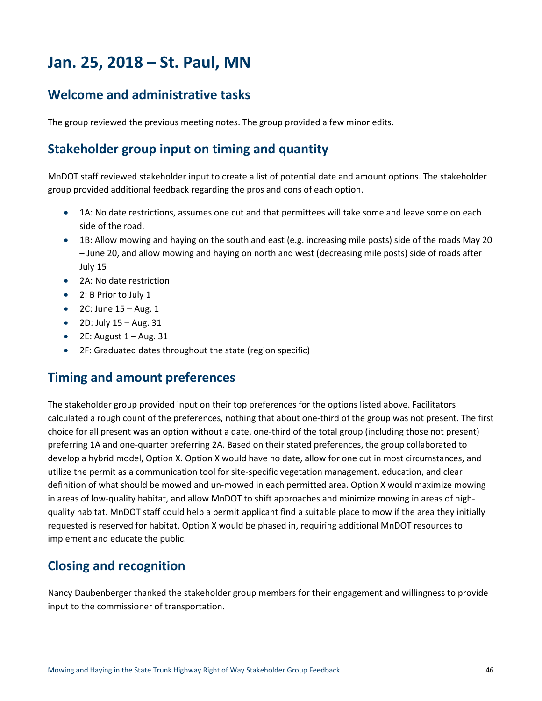# **Jan. 25, 2018 – St. Paul, MN**

## **Welcome and administrative tasks**

The group reviewed the previous meeting notes. The group provided a few minor edits.

## **Stakeholder group input on timing and quantity**

MnDOT staff reviewed stakeholder input to create a list of potential date and amount options. The stakeholder group provided additional feedback regarding the pros and cons of each option.

- 1A: No date restrictions, assumes one cut and that permittees will take some and leave some on each side of the road.
- 1B: Allow mowing and haying on the south and east (e.g. increasing mile posts) side of the roads May 20 – June 20, and allow mowing and haying on north and west (decreasing mile posts) side of roads after July 15
- 2A: No date restriction
- 2: B Prior to July 1
- $\bullet$  2C: June  $15 \text{Aug.} 1$
- $\bullet$  2D: July  $15 \text{Aug. } 31$
- $\bullet$  2E: August  $1 -$  Aug. 31
- 2F: Graduated dates throughout the state (region specific)

### **Timing and amount preferences**

The stakeholder group provided input on their top preferences for the options listed above. Facilitators calculated a rough count of the preferences, nothing that about one-third of the group was not present. The first choice for all present was an option without a date, one-third of the total group (including those not present) preferring 1A and one-quarter preferring 2A. Based on their stated preferences, the group collaborated to develop a hybrid model, Option X. Option X would have no date, allow for one cut in most circumstances, and utilize the permit as a communication tool for site-specific vegetation management, education, and clear definition of what should be mowed and un-mowed in each permitted area. Option X would maximize mowing in areas of low-quality habitat, and allow MnDOT to shift approaches and minimize mowing in areas of highquality habitat. MnDOT staff could help a permit applicant find a suitable place to mow if the area they initially requested is reserved for habitat. Option X would be phased in, requiring additional MnDOT resources to implement and educate the public.

## **Closing and recognition**

Nancy Daubenberger thanked the stakeholder group members for their engagement and willingness to provide input to the commissioner of transportation.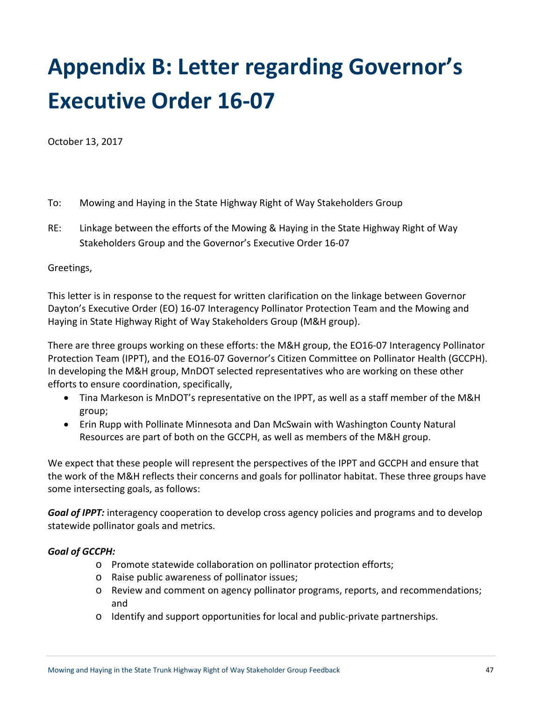# **Appendix B: Letter regarding Governor's Executive Order 16-07**

October 13, 2017

- To: Mowing and Haying in the State Highway Right of Way Stakeholders Group
- RE: Linkage between the efforts of the Mowing & Haying in the State Highway Right of Way Stakeholders Group and the Governor's Executive Order 16-07

### Greetings,

This letter is in response to the request for written clarification on the linkage between Governor Dayton's Executive Order (EO) 16-07 Interagency Pollinator Protection Team and the Mowing and Haying in State Highway Right of Way Stakeholders Group (M&H group).

There are three groups working on these efforts: the M&H group, the EO16-07 Interagency Pollinator Protection Team (IPPT), and the EO16-07 Governor's Citizen Committee on Pollinator Health (GCCPH). In developing the M&H group, MnDOT selected representatives who are working on these other efforts to ensure coordination, specifically,

- Tina Markeson is MnDOT's representative on the IPPT, as well as a staff member of the M&H group;
- Erin Rupp with Pollinate Minnesota and Dan McSwain with Washington County Natural Resources are part of both on the GCCPH, as well as members of the M&H group.

We expect that these people will represent the perspectives of the IPPT and GCCPH and ensure that the work of the M&H reflects their concerns and goals for pollinator habitat. These three groups have some intersecting goals, as follows:

*Goal of IPPT:* interagency cooperation to develop cross agency policies and programs and to develop statewide pollinator goals and metrics.

### *Goal of GCCPH:*

- o Promote statewide collaboration on pollinator protection efforts;
- o Raise public awareness of pollinator issues;
- o Review and comment on agency pollinator programs, reports, and recommendations; and
- o Identify and support opportunities for local and public-private partnerships.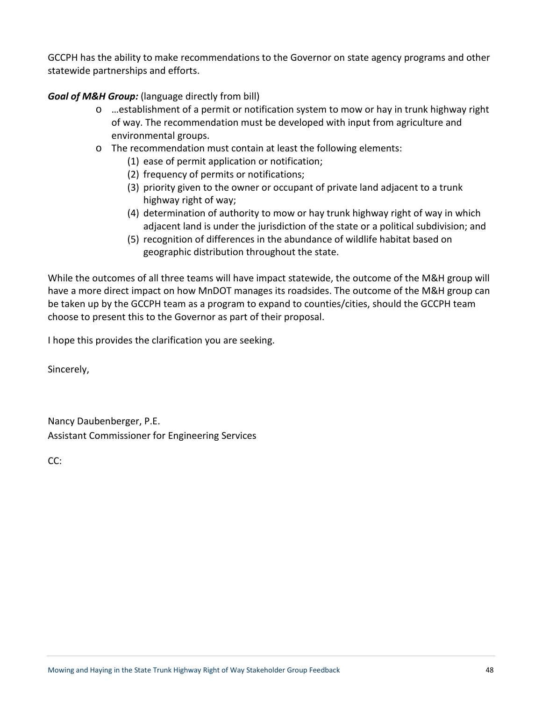GCCPH has the ability to make recommendations to the Governor on state agency programs and other statewide partnerships and efforts.

*Goal of M&H Group:* (language directly from bill)

- o …establishment of a permit or notification system to mow or hay in trunk highway right of way. The recommendation must be developed with input from agriculture and environmental groups.
- o The recommendation must contain at least the following elements:
	- (1) ease of permit application or notification;
	- (2) frequency of permits or notifications;
	- (3) priority given to the owner or occupant of private land adjacent to a trunk highway right of way;
	- (4) determination of authority to mow or hay trunk highway right of way in which adjacent land is under the jurisdiction of the state or a political subdivision; and
	- (5) recognition of differences in the abundance of wildlife habitat based on geographic distribution throughout the state.

While the outcomes of all three teams will have impact statewide, the outcome of the M&H group will have a more direct impact on how MnDOT manages its roadsides. The outcome of the M&H group can be taken up by the GCCPH team as a program to expand to counties/cities, should the GCCPH team choose to present this to the Governor as part of their proposal.

I hope this provides the clarification you are seeking.

Sincerely,

Nancy Daubenberger, P.E. Assistant Commissioner for Engineering Services

CC: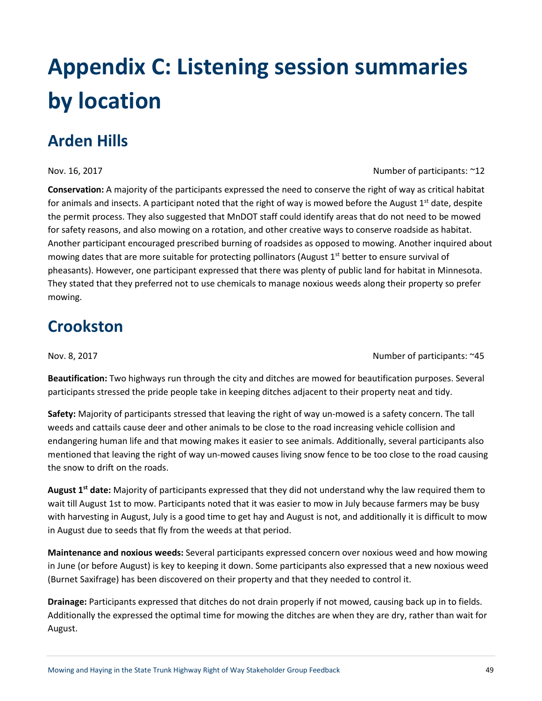# **Appendix C: Listening session summaries by location**

# **Arden Hills**

**Conservation:** A majority of the participants expressed the need to conserve the right of way as critical habitat for animals and insects. A participant noted that the right of way is mowed before the August  $1<sup>st</sup>$  date, despite the permit process. They also suggested that MnDOT staff could identify areas that do not need to be mowed for safety reasons, and also mowing on a rotation, and other creative ways to conserve roadside as habitat. Another participant encouraged prescribed burning of roadsides as opposed to mowing. Another inquired about mowing dates that are more suitable for protecting pollinators (August 1<sup>st</sup> better to ensure survival of pheasants). However, one participant expressed that there was plenty of public land for habitat in Minnesota. They stated that they preferred not to use chemicals to manage noxious weeds along their property so prefer mowing.

# **Crookston**

Nov. 8, 2017 **Number of participants: ~45** 

**Beautification:** Two highways run through the city and ditches are mowed for beautification purposes. Several participants stressed the pride people take in keeping ditches adjacent to their property neat and tidy.

**Safety:** Majority of participants stressed that leaving the right of way un-mowed is a safety concern. The tall weeds and cattails cause deer and other animals to be close to the road increasing vehicle collision and endangering human life and that mowing makes it easier to see animals. Additionally, several participants also mentioned that leaving the right of way un-mowed causes living snow fence to be too close to the road causing the snow to drift on the roads.

**August 1st date:** Majority of participants expressed that they did not understand why the law required them to wait till August 1st to mow. Participants noted that it was easier to mow in July because farmers may be busy with harvesting in August, July is a good time to get hay and August is not, and additionally it is difficult to mow in August due to seeds that fly from the weeds at that period.

**Maintenance and noxious weeds:** Several participants expressed concern over noxious weed and how mowing in June (or before August) is key to keeping it down. Some participants also expressed that a new noxious weed (Burnet Saxifrage) has been discovered on their property and that they needed to control it.

**Drainage:** Participants expressed that ditches do not drain properly if not mowed, causing back up in to fields. Additionally the expressed the optimal time for mowing the ditches are when they are dry, rather than wait for August.

Nov. 16, 2017 **Number of participants: ~12**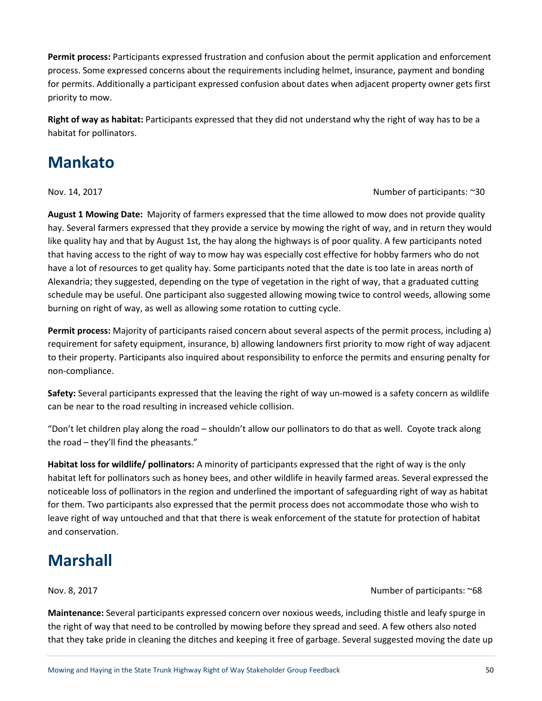**Permit process:** Participants expressed frustration and confusion about the permit application and enforcement process. Some expressed concerns about the requirements including helmet, insurance, payment and bonding for permits. Additionally a participant expressed confusion about dates when adjacent property owner gets first priority to mow.

**Right of way as habitat:** Participants expressed that they did not understand why the right of way has to be a habitat for pollinators.

# **Mankato**

Nov. 14, 2017 Number of participants: ~30

**August 1 Mowing Date:** Majority of farmers expressed that the time allowed to mow does not provide quality hay. Several farmers expressed that they provide a service by mowing the right of way, and in return they would like quality hay and that by August 1st, the hay along the highways is of poor quality. A few participants noted that having access to the right of way to mow hay was especially cost effective for hobby farmers who do not have a lot of resources to get quality hay. Some participants noted that the date is too late in areas north of Alexandria; they suggested, depending on the type of vegetation in the right of way, that a graduated cutting schedule may be useful. One participant also suggested allowing mowing twice to control weeds, allowing some burning on right of way, as well as allowing some rotation to cutting cycle.

**Permit process:** Majority of participants raised concern about several aspects of the permit process, including a) requirement for safety equipment, insurance, b) allowing landowners first priority to mow right of way adjacent to their property. Participants also inquired about responsibility to enforce the permits and ensuring penalty for non-compliance.

**Safety:** Several participants expressed that the leaving the right of way un-mowed is a safety concern as wildlife can be near to the road resulting in increased vehicle collision.

"Don't let children play along the road – shouldn't allow our pollinators to do that as well. Coyote track along the road – they'll find the pheasants."

**Habitat loss for wildlife/ pollinators:** A minority of participants expressed that the right of way is the only habitat left for pollinators such as honey bees, and other wildlife in heavily farmed areas. Several expressed the noticeable loss of pollinators in the region and underlined the important of safeguarding right of way as habitat for them. Two participants also expressed that the permit process does not accommodate those who wish to leave right of way untouched and that that there is weak enforcement of the statute for protection of habitat and conservation.

# **Marshall**

Nov. 8, 2017 Number of participants: ~68

**Maintenance:** Several participants expressed concern over noxious weeds, including thistle and leafy spurge in the right of way that need to be controlled by mowing before they spread and seed. A few others also noted that they take pride in cleaning the ditches and keeping it free of garbage. Several suggested moving the date up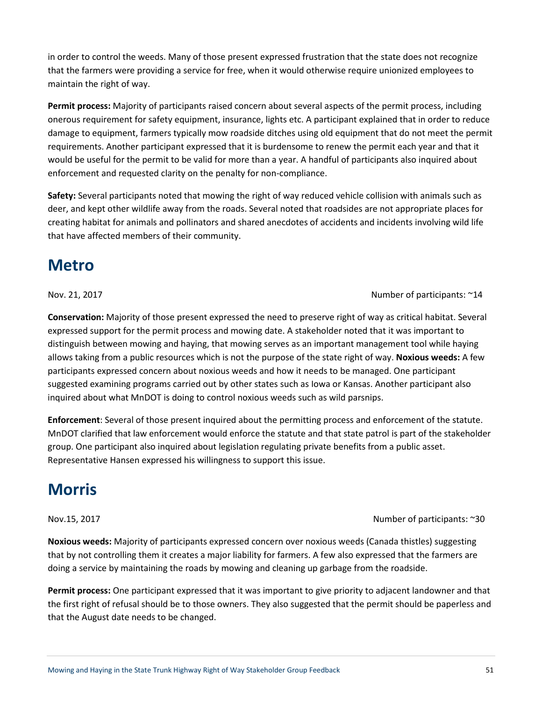the first right of refusal should be to those owners. They also suggested that the permit should be paperless and that the August date needs to be changed.

that by not controlling them it creates a major liability for farmers. A few also expressed that the farmers are doing a service by maintaining the roads by mowing and cleaning up garbage from the roadside.

inquired about what MnDOT is doing to control noxious weeds such as wild parsnips. **Enforcement**: Several of those present inquired about the permitting process and enforcement of the statute. MnDOT clarified that law enforcement would enforce the statute and that state patrol is part of the stakeholder group. One participant also inquired about legislation regulating private benefits from a public asset. Representative Hansen expressed his willingness to support this issue.

**Conservation:** Majority of those present expressed the need to preserve right of way as critical habitat. Several

expressed support for the permit process and mowing date. A stakeholder noted that it was important to distinguish between mowing and haying, that mowing serves as an important management tool while haying allows taking from a public resources which is not the purpose of the state right of way. **Noxious weeds:** A few

participants expressed concern about noxious weeds and how it needs to be managed. One participant suggested examining programs carried out by other states such as Iowa or Kansas. Another participant also

**Metro**

that have affected members of their community.

Nov. 21, 2017 **Number of participants: ~14** 

**Permit process:** Majority of participants raised concern about several aspects of the permit process, including onerous requirement for safety equipment, insurance, lights etc. A participant explained that in order to reduce damage to equipment, farmers typically mow roadside ditches using old equipment that do not meet the permit requirements. Another participant expressed that it is burdensome to renew the permit each year and that it would be useful for the permit to be valid for more than a year. A handful of participants also inquired about enforcement and requested clarity on the penalty for non-compliance.

**Safety:** Several participants noted that mowing the right of way reduced vehicle collision with animals such as deer, and kept other wildlife away from the roads. Several noted that roadsides are not appropriate places for creating habitat for animals and pollinators and shared anecdotes of accidents and incidents involving wild life

in order to control the weeds. Many of those present expressed frustration that the state does not recognize that the farmers were providing a service for free, when it would otherwise require unionized employees to maintain the right of way.

**Noxious weeds:** Majority of participants expressed concern over noxious weeds (Canada thistles) suggesting

**Permit process:** One participant expressed that it was important to give priority to adjacent landowner and that

# **Morris**

### Nov.15, 2017 **Number of participants: ~30**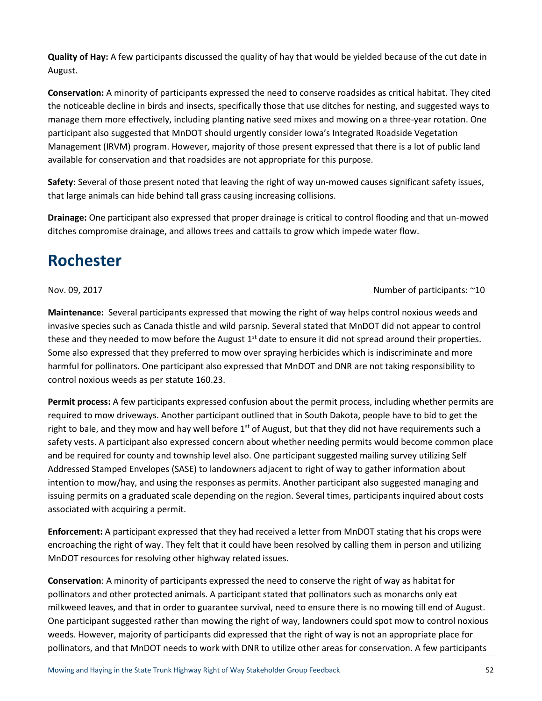**Quality of Hay:** A few participants discussed the quality of hay that would be yielded because of the cut date in August.

**Conservation:** A minority of participants expressed the need to conserve roadsides as critical habitat. They cited the noticeable decline in birds and insects, specifically those that use ditches for nesting, and suggested ways to manage them more effectively, including planting native seed mixes and mowing on a three-year rotation. One participant also suggested that MnDOT should urgently consider Iowa's Integrated Roadside Vegetation Management (IRVM) program. However, majority of those present expressed that there is a lot of public land available for conservation and that roadsides are not appropriate for this purpose.

**Safety**: Several of those present noted that leaving the right of way un-mowed causes significant safety issues, that large animals can hide behind tall grass causing increasing collisions.

**Drainage:** One participant also expressed that proper drainage is critical to control flooding and that un-mowed ditches compromise drainage, and allows trees and cattails to grow which impede water flow.

# **Rochester**

### Nov. 09, 2017 **Number of participants: ~10**

**Maintenance:** Several participants expressed that mowing the right of way helps control noxious weeds and invasive species such as Canada thistle and wild parsnip. Several stated that MnDOT did not appear to control these and they needed to mow before the August  $1<sup>st</sup>$  date to ensure it did not spread around their properties. Some also expressed that they preferred to mow over spraying herbicides which is indiscriminate and more harmful for pollinators. One participant also expressed that MnDOT and DNR are not taking responsibility to control noxious weeds as per statute 160.23.

**Permit process:** A few participants expressed confusion about the permit process, including whether permits are required to mow driveways. Another participant outlined that in South Dakota, people have to bid to get the right to bale, and they mow and hay well before  $1<sup>st</sup>$  of August, but that they did not have requirements such a safety vests. A participant also expressed concern about whether needing permits would become common place and be required for county and township level also. One participant suggested mailing survey utilizing Self Addressed Stamped Envelopes (SASE) to landowners adjacent to right of way to gather information about intention to mow/hay, and using the responses as permits. Another participant also suggested managing and issuing permits on a graduated scale depending on the region. Several times, participants inquired about costs associated with acquiring a permit.

**Enforcement:** A participant expressed that they had received a letter from MnDOT stating that his crops were encroaching the right of way. They felt that it could have been resolved by calling them in person and utilizing MnDOT resources for resolving other highway related issues.

**Conservation**: A minority of participants expressed the need to conserve the right of way as habitat for pollinators and other protected animals. A participant stated that pollinators such as monarchs only eat milkweed leaves, and that in order to guarantee survival, need to ensure there is no mowing till end of August. One participant suggested rather than mowing the right of way, landowners could spot mow to control noxious weeds. However, majority of participants did expressed that the right of way is not an appropriate place for pollinators, and that MnDOT needs to work with DNR to utilize other areas for conservation. A few participants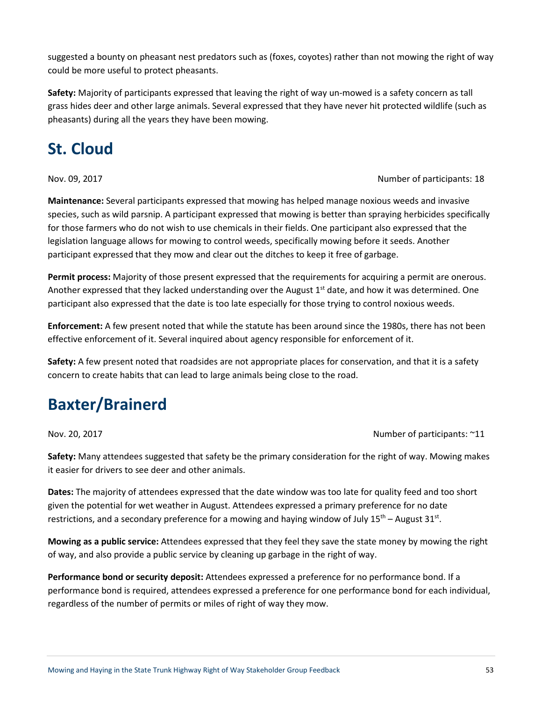suggested a bounty on pheasant nest predators such as (foxes, coyotes) rather than not mowing the right of way could be more useful to protect pheasants.

**Safety:** Majority of participants expressed that leaving the right of way un-mowed is a safety concern as tall grass hides deer and other large animals. Several expressed that they have never hit protected wildlife (such as pheasants) during all the years they have been mowing.

# **St. Cloud**

### Nov. 09, 2017 Number of participants: 18

**Maintenance:** Several participants expressed that mowing has helped manage noxious weeds and invasive species, such as wild parsnip. A participant expressed that mowing is better than spraying herbicides specifically for those farmers who do not wish to use chemicals in their fields. One participant also expressed that the legislation language allows for mowing to control weeds, specifically mowing before it seeds. Another participant expressed that they mow and clear out the ditches to keep it free of garbage.

**Permit process:** Majority of those present expressed that the requirements for acquiring a permit are onerous. Another expressed that they lacked understanding over the August  $1<sup>st</sup>$  date, and how it was determined. One participant also expressed that the date is too late especially for those trying to control noxious weeds.

**Enforcement:** A few present noted that while the statute has been around since the 1980s, there has not been effective enforcement of it. Several inquired about agency responsible for enforcement of it.

**Safety:** A few present noted that roadsides are not appropriate places for conservation, and that it is a safety concern to create habits that can lead to large animals being close to the road.

# **Baxter/Brainerd**

Nov. 20, 2017 Number of participants: ~11

**Safety:** Many attendees suggested that safety be the primary consideration for the right of way. Mowing makes it easier for drivers to see deer and other animals.

**Dates:** The majority of attendees expressed that the date window was too late for quality feed and too short given the potential for wet weather in August. Attendees expressed a primary preference for no date restrictions, and a secondary preference for a mowing and haying window of July  $15<sup>th</sup>$  – August  $31<sup>st</sup>$ .

**Mowing as a public service:** Attendees expressed that they feel they save the state money by mowing the right of way, and also provide a public service by cleaning up garbage in the right of way.

**Performance bond or security deposit:** Attendees expressed a preference for no performance bond. If a performance bond is required, attendees expressed a preference for one performance bond for each individual, regardless of the number of permits or miles of right of way they mow.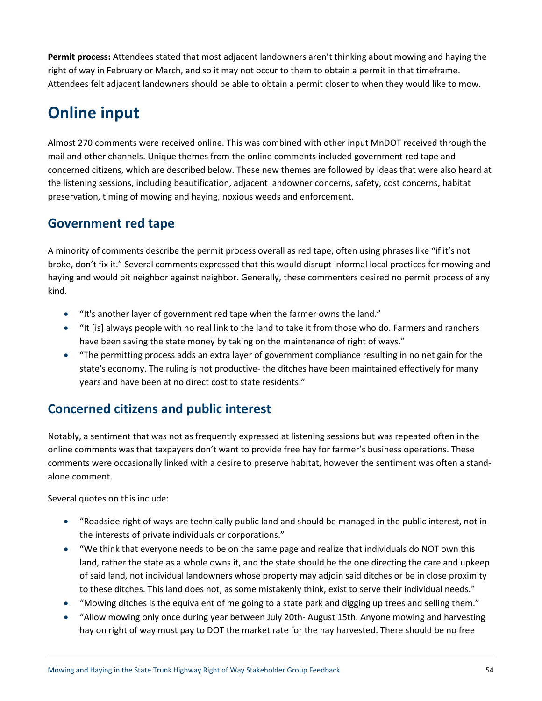**Permit process:** Attendees stated that most adjacent landowners aren't thinking about mowing and haying the right of way in February or March, and so it may not occur to them to obtain a permit in that timeframe. Attendees felt adjacent landowners should be able to obtain a permit closer to when they would like to mow.

# **Online input**

Almost 270 comments were received online. This was combined with other input MnDOT received through the mail and other channels. Unique themes from the online comments included government red tape and concerned citizens, which are described below. These new themes are followed by ideas that were also heard at the listening sessions, including beautification, adjacent landowner concerns, safety, cost concerns, habitat preservation, timing of mowing and haying, noxious weeds and enforcement.

# **Government red tape**

A minority of comments describe the permit process overall as red tape, often using phrases like "if it's not broke, don't fix it." Several comments expressed that this would disrupt informal local practices for mowing and haying and would pit neighbor against neighbor. Generally, these commenters desired no permit process of any kind.

- "It's another layer of government red tape when the farmer owns the land."
- "It [is] always people with no real link to the land to take it from those who do. Farmers and ranchers have been saving the state money by taking on the maintenance of right of ways."
- "The permitting process adds an extra layer of government compliance resulting in no net gain for the state's economy. The ruling is not productive- the ditches have been maintained effectively for many years and have been at no direct cost to state residents."

# **Concerned citizens and public interest**

Notably, a sentiment that was not as frequently expressed at listening sessions but was repeated often in the online comments was that taxpayers don't want to provide free hay for farmer's business operations. These comments were occasionally linked with a desire to preserve habitat, however the sentiment was often a standalone comment.

Several quotes on this include:

- "Roadside right of ways are technically public land and should be managed in the public interest, not in the interests of private individuals or corporations."
- "We think that everyone needs to be on the same page and realize that individuals do NOT own this land, rather the state as a whole owns it, and the state should be the one directing the care and upkeep of said land, not individual landowners whose property may adjoin said ditches or be in close proximity to these ditches. This land does not, as some mistakenly think, exist to serve their individual needs."
- "Mowing ditches is the equivalent of me going to a state park and digging up trees and selling them."
- "Allow mowing only once during year between July 20th- August 15th. Anyone mowing and harvesting hay on right of way must pay to DOT the market rate for the hay harvested. There should be no free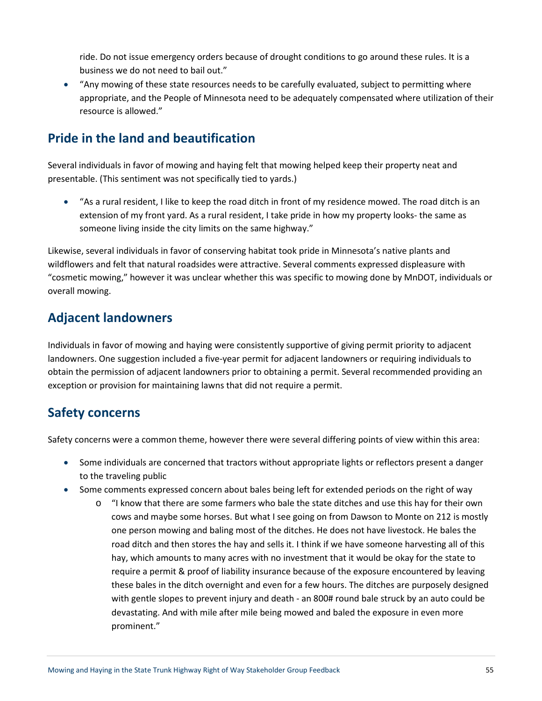ride. Do not issue emergency orders because of drought conditions to go around these rules. It is a business we do not need to bail out."

• "Any mowing of these state resources needs to be carefully evaluated, subject to permitting where appropriate, and the People of Minnesota need to be adequately compensated where utilization of their resource is allowed."

# **Pride in the land and beautification**

Several individuals in favor of mowing and haying felt that mowing helped keep their property neat and presentable. (This sentiment was not specifically tied to yards.)

• "As a rural resident, I like to keep the road ditch in front of my residence mowed. The road ditch is an extension of my front yard. As a rural resident, I take pride in how my property looks- the same as someone living inside the city limits on the same highway."

Likewise, several individuals in favor of conserving habitat took pride in Minnesota's native plants and wildflowers and felt that natural roadsides were attractive. Several comments expressed displeasure with "cosmetic mowing," however it was unclear whether this was specific to mowing done by MnDOT, individuals or overall mowing.

# **Adjacent landowners**

Individuals in favor of mowing and haying were consistently supportive of giving permit priority to adjacent landowners. One suggestion included a five-year permit for adjacent landowners or requiring individuals to obtain the permission of adjacent landowners prior to obtaining a permit. Several recommended providing an exception or provision for maintaining lawns that did not require a permit.

# **Safety concerns**

Safety concerns were a common theme, however there were several differing points of view within this area:

- Some individuals are concerned that tractors without appropriate lights or reflectors present a danger to the traveling public
- Some comments expressed concern about bales being left for extended periods on the right of way
	- o "I know that there are some farmers who bale the state ditches and use this hay for their own cows and maybe some horses. But what I see going on from Dawson to Monte on 212 is mostly one person mowing and baling most of the ditches. He does not have livestock. He bales the road ditch and then stores the hay and sells it. I think if we have someone harvesting all of this hay, which amounts to many acres with no investment that it would be okay for the state to require a permit & proof of liability insurance because of the exposure encountered by leaving these bales in the ditch overnight and even for a few hours. The ditches are purposely designed with gentle slopes to prevent injury and death - an 800# round bale struck by an auto could be devastating. And with mile after mile being mowed and baled the exposure in even more prominent."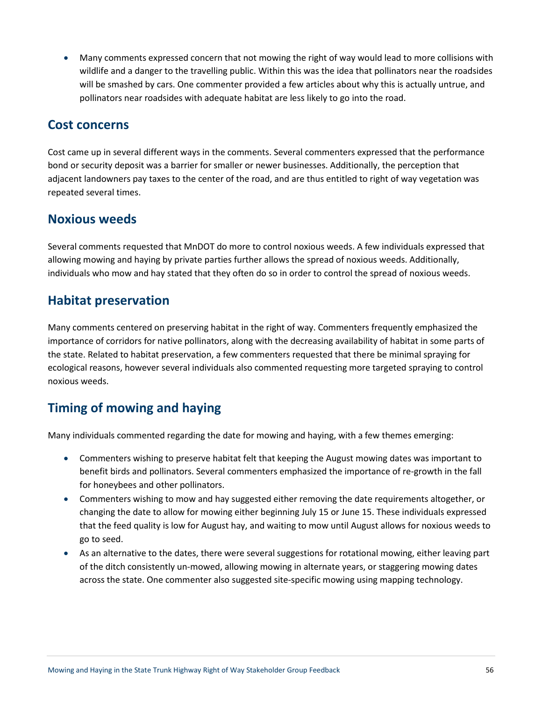• Many comments expressed concern that not mowing the right of way would lead to more collisions with wildlife and a danger to the travelling public. Within this was the idea that pollinators near the roadsides will be smashed by cars. One commenter provided a few articles about why this is actually untrue, and pollinators near roadsides with adequate habitat are less likely to go into the road.

## **Cost concerns**

Cost came up in several different ways in the comments. Several commenters expressed that the performance bond or security deposit was a barrier for smaller or newer businesses. Additionally, the perception that adjacent landowners pay taxes to the center of the road, and are thus entitled to right of way vegetation was repeated several times.

## **Noxious weeds**

Several comments requested that MnDOT do more to control noxious weeds. A few individuals expressed that allowing mowing and haying by private parties further allows the spread of noxious weeds. Additionally, individuals who mow and hay stated that they often do so in order to control the spread of noxious weeds.

## **Habitat preservation**

Many comments centered on preserving habitat in the right of way. Commenters frequently emphasized the importance of corridors for native pollinators, along with the decreasing availability of habitat in some parts of the state. Related to habitat preservation, a few commenters requested that there be minimal spraying for ecological reasons, however several individuals also commented requesting more targeted spraying to control noxious weeds.

# **Timing of mowing and haying**

Many individuals commented regarding the date for mowing and haying, with a few themes emerging:

- Commenters wishing to preserve habitat felt that keeping the August mowing dates was important to benefit birds and pollinators. Several commenters emphasized the importance of re-growth in the fall for honeybees and other pollinators.
- Commenters wishing to mow and hay suggested either removing the date requirements altogether, or changing the date to allow for mowing either beginning July 15 or June 15. These individuals expressed that the feed quality is low for August hay, and waiting to mow until August allows for noxious weeds to go to seed.
- As an alternative to the dates, there were several suggestions for rotational mowing, either leaving part of the ditch consistently un-mowed, allowing mowing in alternate years, or staggering mowing dates across the state. One commenter also suggested site-specific mowing using mapping technology.